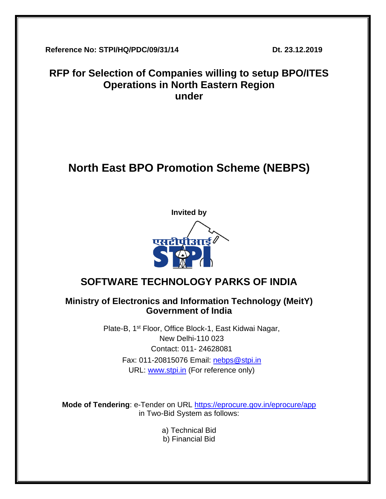**Reference No: STPI/HQ/PDC/09/31/14 Dt. 23.12.2019**

## **RFP for Selection of Companies willing to setup BPO/ITES Operations in North Eastern Region under**

# **North East BPO Promotion Scheme (NEBPS)**



## **SOFTWARE TECHNOLOGY PARKS OF INDIA**

## **Ministry of Electronics and Information Technology (MeitY) Government of India**

Plate-B, 1st Floor, Office Block-1, East Kidwai Nagar, New Delhi-110 023 Contact: 011- 24628081 Fax: 011-20815076 Email: [nebps@stpi.in](mailto:nebps@stpi.in) URL: [www.stpi.in](http://www.stpi.in/) (For reference only)

**Mode of Tendering**: e-Tender on URL<https://eprocure.gov.in/eprocure/app> in Two-Bid System as follows:

a) Technical Bid

b) Financial Bid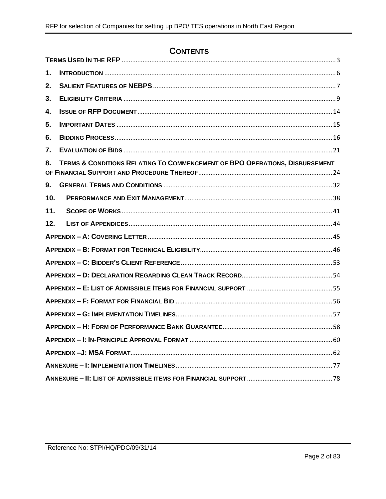## **CONTENTS**

| 1.  |                                                                             |  |  |  |
|-----|-----------------------------------------------------------------------------|--|--|--|
| 2.  |                                                                             |  |  |  |
| 3.  |                                                                             |  |  |  |
| 4.  |                                                                             |  |  |  |
| 5.  |                                                                             |  |  |  |
| 6.  |                                                                             |  |  |  |
| 7.  |                                                                             |  |  |  |
| 8.  | TERMS & CONDITIONS RELATING TO COMMENCEMENT OF BPO OPERATIONS, DISBURSEMENT |  |  |  |
| 9.  |                                                                             |  |  |  |
| 10. |                                                                             |  |  |  |
| 11. |                                                                             |  |  |  |
| 12. |                                                                             |  |  |  |
|     |                                                                             |  |  |  |
|     |                                                                             |  |  |  |
|     |                                                                             |  |  |  |
|     |                                                                             |  |  |  |
|     |                                                                             |  |  |  |
|     |                                                                             |  |  |  |
|     |                                                                             |  |  |  |
|     |                                                                             |  |  |  |
|     |                                                                             |  |  |  |
|     |                                                                             |  |  |  |
|     |                                                                             |  |  |  |
|     |                                                                             |  |  |  |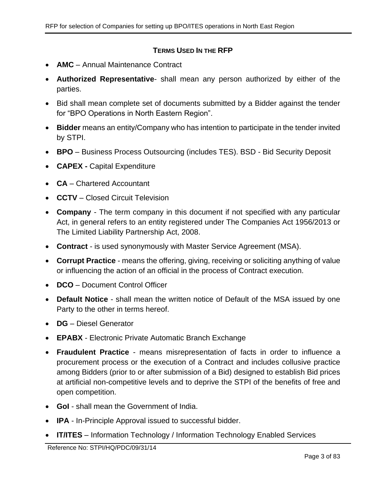### **TERMS USED IN THE RFP**

- <span id="page-2-0"></span>• **AMC** – Annual Maintenance Contract
- **Authorized Representative** shall mean any person authorized by either of the parties.
- Bid shall mean complete set of documents submitted by a Bidder against the tender for "BPO Operations in North Eastern Region".
- **Bidder** means an entity/Company who has intention to participate in the tender invited by STPI.
- **BPO** Business Process Outsourcing (includes TES). BSD Bid Security Deposit
- **CAPEX -** Capital Expenditure
- **CA** Chartered Accountant
- **CCTV** Closed Circuit Television
- **Company** The term company in this document if not specified with any particular Act, in general refers to an entity registered under The Companies Act 1956/2013 or The Limited Liability Partnership Act, 2008.
- **Contract**  is used synonymously with Master Service Agreement (MSA).
- **Corrupt Practice** means the offering, giving, receiving or soliciting anything of value or influencing the action of an official in the process of Contract execution.
- **DCO** Document Control Officer
- **Default Notice** shall mean the written notice of Default of the MSA issued by one Party to the other in terms hereof.
- **DG** Diesel Generator
- **EPABX** Electronic Private Automatic Branch Exchange
- **Fraudulent Practice** means misrepresentation of facts in order to influence a procurement process or the execution of a Contract and includes collusive practice among Bidders (prior to or after submission of a Bid) designed to establish Bid prices at artificial non-competitive levels and to deprive the STPI of the benefits of free and open competition.
- **GoI** shall mean the Government of India.
- **IPA** In-Principle Approval issued to successful bidder.
- **IT/ITES** Information Technology / Information Technology Enabled Services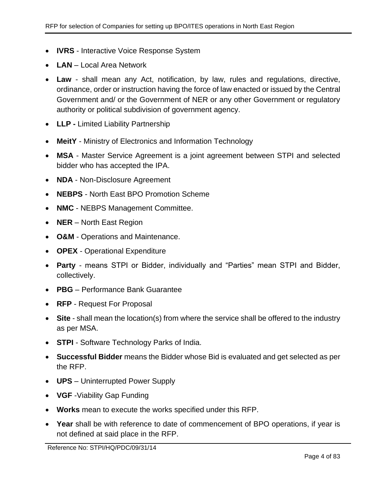- **IVRS** Interactive Voice Response System
- **LAN** Local Area Network
- **Law** shall mean any Act, notification, by law, rules and regulations, directive, ordinance, order or instruction having the force of law enacted or issued by the Central Government and/ or the Government of NER or any other Government or regulatory authority or political subdivision of government agency.
- **LLP -** Limited Liability Partnership
- **MeitY** Ministry of Electronics and Information Technology
- **MSA** Master Service Agreement is a joint agreement between STPI and selected bidder who has accepted the IPA.
- **NDA** Non-Disclosure Agreement
- **NEBPS** North East BPO Promotion Scheme
- **NMC** NEBPS Management Committee.
- **NER** North East Region
- **O&M** Operations and Maintenance.
- **OPEX** Operational Expenditure
- **Party** means STPI or Bidder, individually and "Parties" mean STPI and Bidder, collectively.
- **PBG** Performance Bank Guarantee
- **RFP** Request For Proposal
- **Site** shall mean the location(s) from where the service shall be offered to the industry as per MSA.
- **STPI** Software Technology Parks of India.
- **Successful Bidder** means the Bidder whose Bid is evaluated and get selected as per the RFP.
- **UPS** Uninterrupted Power Supply
- **VGF** -Viability Gap Funding
- **Works** mean to execute the works specified under this RFP.
- **Year** shall be with reference to date of commencement of BPO operations, if year is not defined at said place in the RFP.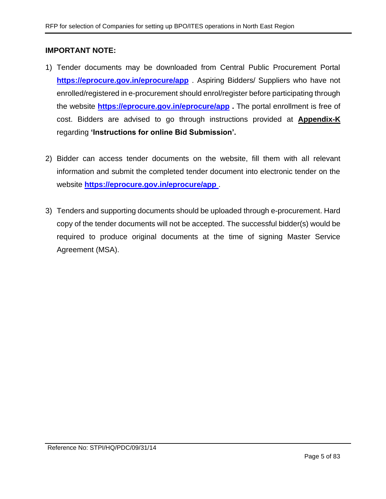#### **IMPORTANT NOTE:**

- 1) Tender documents may be downloaded from Central Public Procurement Portal **<https://eprocure.gov.in/eprocure/app>** . Aspiring Bidders/ Suppliers who have not enrolled/registered in e-procurement should enrol/register before participating through the website **<https://eprocure.gov.in/eprocure/app> .** The portal enrollment is free of cost. Bidders are advised to go through instructions provided at **[Appendix-K](#page-77-1)** regarding **'Instructions for online Bid Submission'.**
- 2) Bidder can access tender documents on the website, fill them with all relevant information and submit the completed tender document into electronic tender on the website **<https://eprocure.gov.in/eprocure/app>** .
- 3) Tenders and supporting documents should be uploaded through e-procurement. Hard copy of the tender documents will not be accepted. The successful bidder(s) would be required to produce original documents at the time of signing Master Service Agreement (MSA).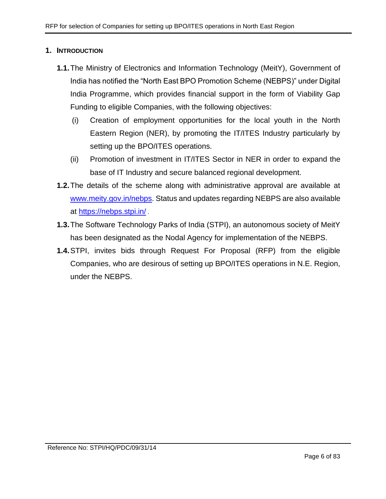#### <span id="page-5-0"></span>**1. INTRODUCTION**

- **1.1.**The Ministry of Electronics and Information Technology (MeitY), Government of India has notified the "North East BPO Promotion Scheme (NEBPS)" under Digital India Programme, which provides financial support in the form of Viability Gap Funding to eligible Companies, with the following objectives:
	- (i) Creation of employment opportunities for the local youth in the North Eastern Region (NER), by promoting the IT/ITES Industry particularly by setting up the BPO/ITES operations.
	- (ii) Promotion of investment in IT/ITES Sector in NER in order to expand the base of IT Industry and secure balanced regional development.
- **1.2.**The details of the scheme along with administrative approval are available at [www.meity.gov.in/nebps.](www.meity.gov.in/nebps) Status and updates regarding NEBPS are also available at <https://nebps.stpi.in/> .
- **1.3.**The Software Technology Parks of India (STPI), an autonomous society of MeitY has been designated as the Nodal Agency for implementation of the NEBPS.
- **1.4.**STPI, invites bids through Request For Proposal (RFP) from the eligible Companies, who are desirous of setting up BPO/ITES operations in N.E. Region, under the NEBPS.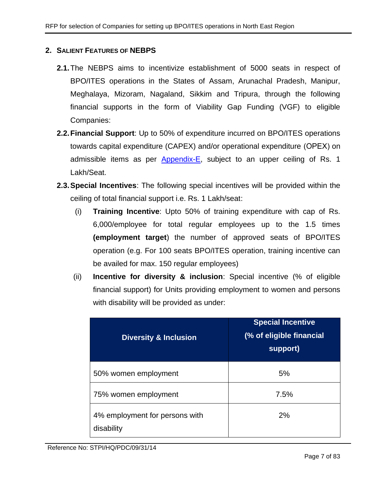### <span id="page-6-0"></span>**2. SALIENT FEATURES OF NEBPS**

- **2.1.**The NEBPS aims to incentivize establishment of 5000 seats in respect of BPO/ITES operations in the States of Assam, Arunachal Pradesh, Manipur, Meghalaya, Mizoram, Nagaland, Sikkim and Tripura, through the following financial supports in the form of Viability Gap Funding (VGF) to eligible Companies:
- **2.2.Financial Support**: Up to 50% of expenditure incurred on BPO/ITES operations towards capital expenditure (CAPEX) and/or operational expenditure (ОРЕХ) on admissible items as per [Appendix-E,](#page-54-0) subject to an upper ceiling of Rs. 1 Lakh/Seat.
- <span id="page-6-1"></span>**2.3.Special Incentives**: The following special incentives will be provided within the ceiling of total financial support i.e. Rs. 1 Lakh/seat:
	- (i) **Training Incentive**: Upto 50% of training expenditure with cap of Rs. 6,000/employee for total regular employees up to the 1.5 times **(employment target**) the number of approved seats of BPO/ITES operation (e.g. For 100 seats BPO/ITES operation, training incentive can be availed for max. 150 regular employees)
	- (ii) **Incentive for diversity & inclusion**: Special incentive (% of eligible financial support) for Units providing employment to women and persons with disability will be provided as under:

| <b>Diversity &amp; Inclusion</b>             | <b>Special Incentive</b><br>(% of eligible financial<br>support) |
|----------------------------------------------|------------------------------------------------------------------|
| 50% women employment                         | 5%                                                               |
| 75% women employment                         | 7.5%                                                             |
| 4% employment for persons with<br>disability | 2%                                                               |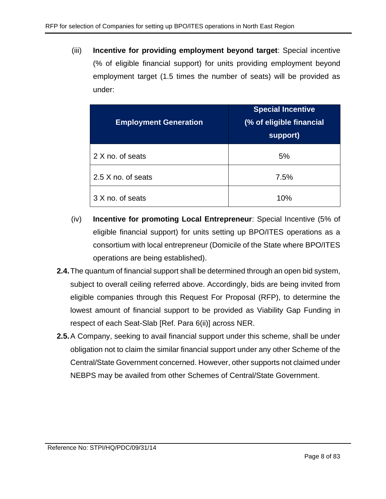(iii) **Incentive for providing employment beyond target**: Special incentive (% of eligible financial support) for units providing employment beyond employment target (1.5 times the number of seats) will be provided as under:

| <b>Employment Generation</b> | <b>Special Incentive</b><br>(% of eligible financial<br>support) |
|------------------------------|------------------------------------------------------------------|
| 2 X no. of seats             | 5%                                                               |
| 2.5 X no. of seats           | 7.5%                                                             |
| 3 X no. of seats             | 10%                                                              |

- (iv) **Incentive for promoting Local Entrepreneur**: Special Incentive (5% of eligible financial support) for units setting up BPO/ITES operations as a consortium with local entrepreneur (Domicile of the State where BPO/ITES operations are being established).
- **2.4.**The quantum of financial support shall be determined through an open bid system, subject to overall ceiling referred above. Accordingly, bids are being invited from eligible companies through this Request For Proposal (RFP), to determine the lowest amount of financial support to be provided as Viability Gap Funding in respect of each Seat-Slab [Ref. Para [6\(ii\)\]](#page-15-1) across NER.
- **2.5.**A Company, seeking to avail financial support under this scheme, shall be under obligation not to claim the similar financial support under any other Scheme of the Central/State Government concerned. However, other supports not claimed under NEBPS may be availed from other Schemes of Central/State Government.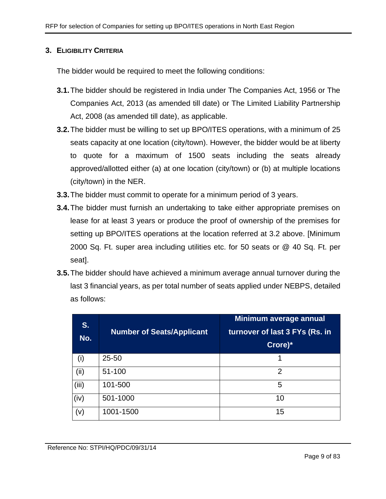#### <span id="page-8-0"></span>**3. ELIGIBILITY CRITERIA**

The bidder would be required to meet the following conditions:

- **3.1.**The bidder should be registered in India under The Companies Act, 1956 or The Companies Act, 2013 (as amended till date) or The Limited Liability Partnership Act, 2008 (as amended till date), as applicable.
- **3.2.**The bidder must be willing to set up BPO/ITES operations, with a minimum of 25 seats capacity at one location (city/town). However, the bidder would be at liberty to quote for a maximum of 1500 seats including the seats already approved/allotted either (a) at one location (city/town) or (b) at multiple locations (city/town) in the NER.
- **3.3.**The bidder must commit to operate for a minimum period of 3 years.
- **3.4.**The bidder must furnish an undertaking to take either appropriate premises on lease for at least 3 years or produce the proof of ownership of the premises for setting up BPO/ITES operations at the location referred at 3.2 above. [Minimum 2000 Sq. Ft. super area including utilities etc. for 50 seats or @ 40 Sq. Ft. per seat].
- **3.5.**The bidder should have achieved a minimum average annual turnover during the last 3 financial years, as per total number of seats applied under NEBPS, detailed as follows:

| S.<br>No. | <b>Number of Seats/Applicant</b> | Minimum average annual<br>turnover of last 3 FYs (Rs. in<br>Crore)* |
|-----------|----------------------------------|---------------------------------------------------------------------|
| (i)       | $25 - 50$                        |                                                                     |
| (ii)      | 51-100                           | 2                                                                   |
| (iii)     | 101-500                          | 5                                                                   |
| (iv)      | 501-1000                         | 10                                                                  |
| (v)       | 1001-1500                        | 15                                                                  |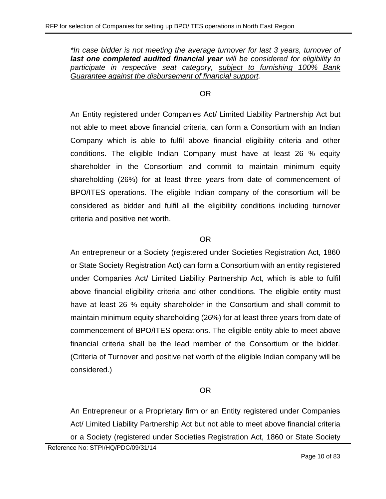*\*In case bidder is not meeting the average turnover for last 3 years, turnover of last one completed audited financial year will be considered for eligibility to participate in respective seat category, subject to furnishing 100% Bank Guarantee against the disbursement of financial support.*

#### OR

An Entity registered under Companies Act/ Limited Liability Partnership Act but not able to meet above financial criteria, can form a Consortium with an Indian Company which is able to fulfil above financial eligibility criteria and other conditions. The eligible Indian Company must have at least 26 % equity shareholder in the Consortium and commit to maintain minimum equity shareholding (26%) for at least three years from date of commencement of BPO/ITES operations. The eligible Indian company of the consortium will be considered as bidder and fulfil all the eligibility conditions including turnover criteria and positive net worth.

### OR

An entrepreneur or a Society (registered under Societies Registration Act, 1860 or State Society Registration Act) can form a Consortium with an entity registered under Companies Act/ Limited Liability Partnership Act, which is able to fulfil above financial eligibility criteria and other conditions. The eligible entity must have at least 26 % equity shareholder in the Consortium and shall commit to maintain minimum equity shareholding (26%) for at least three years from date of commencement of BPO/ITES operations. The eligible entity able to meet above financial criteria shall be the lead member of the Consortium or the bidder. (Criteria of Turnover and positive net worth of the eligible Indian company will be considered.)

## OR

An Entrepreneur or a Proprietary firm or an Entity registered under Companies Act/ Limited Liability Partnership Act but not able to meet above financial criteria or a Society (registered under Societies Registration Act, 1860 or State Society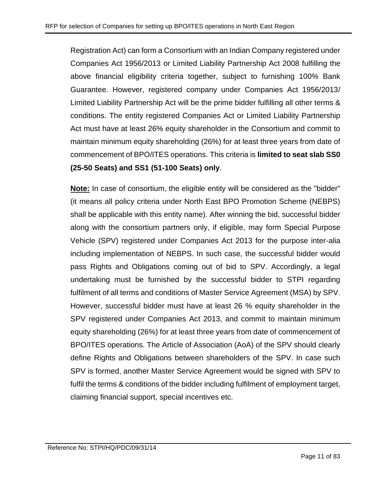Registration Act) can form a Consortium with an Indian Company registered under Companies Act 1956/2013 or Limited Liability Partnership Act 2008 fulfilling the above financial eligibility criteria together, subject to furnishing 100% Bank Guarantee. However, registered company under Companies Act 1956/2013/ Limited Liability Partnership Act will be the prime bidder fulfilling all other terms & conditions. The entity registered Companies Act or Limited Liability Partnership Act must have at least 26% equity shareholder in the Consortium and commit to maintain minimum equity shareholding (26%) for at least three years from date of commencement of BPO/ITES operations. This criteria is **limited to seat slab SS0 (25-50 Seats) and SS1 (51-100 Seats) only**.

**Note:** In case of consortium, the eligible entity will be considered as the "bidder" (it means all policy criteria under North East BPO Promotion Scheme (NEBPS) shall be applicable with this entity name). After winning the bid, successful bidder along with the consortium partners only, if eligible, may form Special Purpose Vehicle (SPV) registered under Companies Act 2013 for the purpose inter-alia including implementation of NEBPS. In such case, the successful bidder would pass Rights and Obligations coming out of bid to SPV. Accordingly, a legal undertaking must be furnished by the successful bidder to STPI regarding fulfilment of all terms and conditions of Master Service Agreement (MSA) by SPV. However, successful bidder must have at least 26 % equity shareholder in the SPV registered under Companies Act 2013, and commit to maintain minimum equity shareholding (26%) for at least three years from date of commencement of BPO/ITES operations. The Article of Association (AoA) of the SPV should clearly define Rights and Obligations between shareholders of the SPV. In case such SPV is formed, another Master Service Agreement would be signed with SPV to fulfil the terms & conditions of the bidder including fulfilment of employment target, claiming financial support, special incentives etc.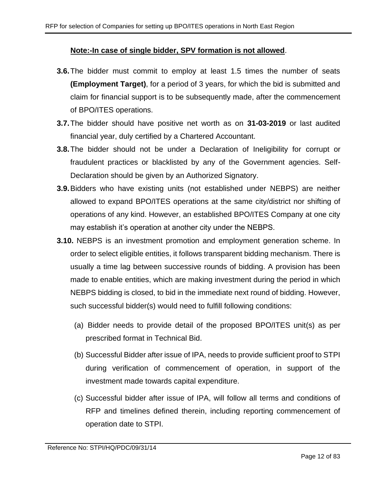#### **Note:-In case of single bidder, SPV formation is not allowed**.

- **3.6.**The bidder must commit to employ at least 1.5 times the number of seats **(Employment Target)**, for a period of 3 years, for which the bid is submitted and claim for financial support is to be subsequently made, after the commencement of BPO/ITES operations.
- **3.7.**The bidder should have positive net worth as on **31-03-2019** or last audited financial year, duly certified by a Chartered Accountant.
- **3.8.**The bidder should not be under a Declaration of Ineligibility for corrupt or fraudulent practices or blacklisted by any of the Government agencies. Self-Declaration should be given by an Authorized Signatory.
- **3.9.**Bidders who have existing units (not established under NEBPS) are neither allowed to expand BPO/ITES operations at the same city/district nor shifting of operations of any kind. However, an established BPO/ITES Company at one city may establish it's operation at another city under the NEBPS.
- <span id="page-11-0"></span>**3.10.** NEBPS is an investment promotion and employment generation scheme. In order to select eligible entities, it follows transparent bidding mechanism. There is usually a time lag between successive rounds of bidding. A provision has been made to enable entities, which are making investment during the period in which NEBPS bidding is closed, to bid in the immediate next round of bidding. However, such successful bidder(s) would need to fulfill following conditions:
	- (a) Bidder needs to provide detail of the proposed BPO/ITES unit(s) as per prescribed format in Technical Bid.
	- (b) Successful Bidder after issue of IPA, needs to provide sufficient proof to STPI during verification of commencement of operation, in support of the investment made towards capital expenditure.
	- (c) Successful bidder after issue of IPA, will follow all terms and conditions of RFP and timelines defined therein, including reporting commencement of operation date to STPI.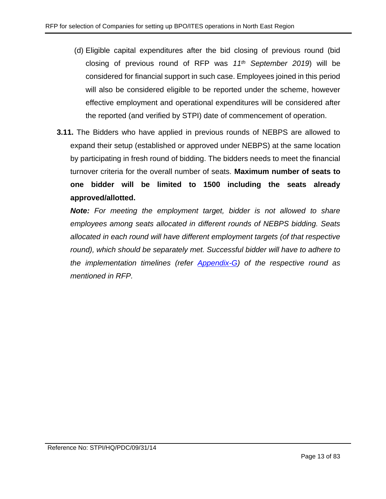- (d) Eligible capital expenditures after the bid closing of previous round (bid closing of previous round of RFP was *11th September 2019*) will be considered for financial support in such case. Employees joined in this period will also be considered eligible to be reported under the scheme, however effective employment and operational expenditures will be considered after the reported (and verified by STPI) date of commencement of operation.
- **3.11.** The Bidders who have applied in previous rounds of NEBPS are allowed to expand their setup (established or approved under NEBPS) at the same location by participating in fresh round of bidding. The bidders needs to meet the financial turnover criteria for the overall number of seats. **Maximum number of seats to one bidder will be limited to 1500 including the seats already approved/allotted.**

*Note: For meeting the employment target, bidder is not allowed to share employees among seats allocated in different rounds of NEBPS bidding. Seats allocated in each round will have different employment targets (of that respective*  round), which should be separately met. Successful bidder will have to adhere to *the implementation timelines (refer [Appendix-G\)](#page-56-0) of the respective round as mentioned in RFP.*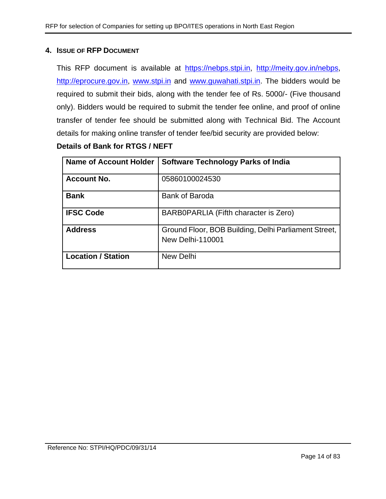#### <span id="page-13-0"></span>**4. ISSUE OF RFP DOCUMENT**

This RFP document is available at [https://nebps.stpi.in,](https://nebps.stpi.in/) [http://meity.gov.in/nebps,](http://meity.gov.in/nebps) [http://eprocure.gov.in,](http://eprocure.gov.in/) [www.stpi.in](http://www.stpi.in/) and [www.guwahati.stpi.in.](http://www.guwahati.stpi.in/) The bidders would be required to submit their bids, along with the tender fee of Rs. 5000/- (Five thousand only). Bidders would be required to submit the tender fee online, and proof of online transfer of tender fee should be submitted along with Technical Bid. The Account details for making online transfer of tender fee/bid security are provided below:

### **Details of Bank for RTGS / NEFT**

| <b>Name of Account Holder</b> | <b>Software Technology Parks of India</b>                                       |
|-------------------------------|---------------------------------------------------------------------------------|
| <b>Account No.</b>            | 05860100024530                                                                  |
| <b>Bank</b>                   | <b>Bank of Baroda</b>                                                           |
| <b>IFSC Code</b>              | BARB0PARLIA (Fifth character is Zero)                                           |
| <b>Address</b>                | Ground Floor, BOB Building, Delhi Parliament Street,<br><b>New Delhi-110001</b> |
| <b>Location / Station</b>     | New Delhi                                                                       |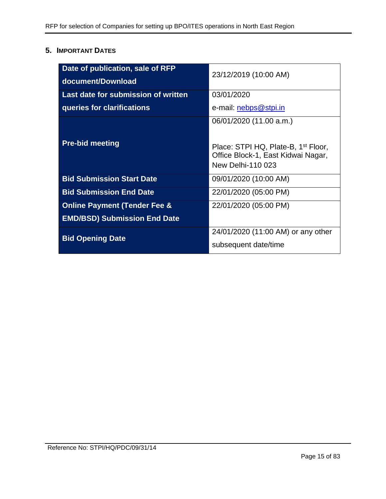## <span id="page-14-0"></span>**5. IMPORTANT DATES**

| Date of publication, sale of RFP<br>document/Download | 23/12/2019 (10:00 AM)                                                                                                                 |
|-------------------------------------------------------|---------------------------------------------------------------------------------------------------------------------------------------|
| Last date for submission of written                   | 03/01/2020                                                                                                                            |
| queries for clarifications                            | e-mail: nebps@stpi.in                                                                                                                 |
| <b>Pre-bid meeting</b>                                | 06/01/2020 (11.00 a.m.)<br>Place: STPI HQ, Plate-B, 1 <sup>st</sup> Floor,<br>Office Block-1, East Kidwai Nagar,<br>New Delhi-110 023 |
| <b>Bid Submission Start Date</b>                      | 09/01/2020 (10:00 AM)                                                                                                                 |
| <b>Bid Submission End Date</b>                        | 22/01/2020 (05:00 PM)                                                                                                                 |
| <b>Online Payment (Tender Fee &amp;</b>               | 22/01/2020 (05:00 PM)                                                                                                                 |
| <b>EMD/BSD) Submission End Date</b>                   |                                                                                                                                       |
| <b>Bid Opening Date</b>                               | 24/01/2020 (11:00 AM) or any other<br>subsequent date/time                                                                            |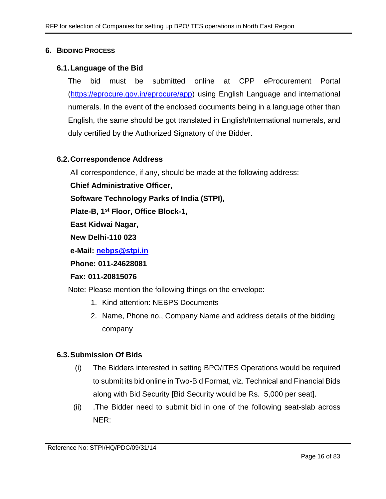#### <span id="page-15-0"></span>**6. BIDDING PROCESS**

#### **6.1.Language of the Bid**

The bid must be submitted online at CPP eProcurement Portal [\(https://eprocure.gov.in/eprocure/app\)](https://eprocure.gov.in/eprocure/app) using English Language and international numerals. In the event of the enclosed documents being in a language other than English, the same should be got translated in English/International numerals, and duly certified by the Authorized Signatory of the Bidder.

### **6.2.Correspondence Address**

All correspondence, if any, should be made at the following address:

**Chief Administrative Officer,**

**Software Technology Parks of India (STPI),**

**Plate-B, 1st Floor, Office Block-1,**

**East Kidwai Nagar,**

**New Delhi-110 023**

**e-Mail: [nebps@stpi.in](mailto:nebps@stpi.in)**

**Phone: 011-24628081**

#### **Fax: 011-20815076**

Note: Please mention the following things on the envelope:

- 1. Kind attention: NEBPS Documents
- 2. Name, Phone no., Company Name and address details of the bidding company

## **6.3.Submission Of Bids**

- (i) The Bidders interested in setting BPO/ITES Operations would be required to submit its bid online in Two-Bid Format, viz. Technical and Financial Bids along with Bid Security [Bid Security would be Rs. 5,000 per seat].
- <span id="page-15-1"></span>(ii) .The Bidder need to submit bid in one of the following seat-slab across NER: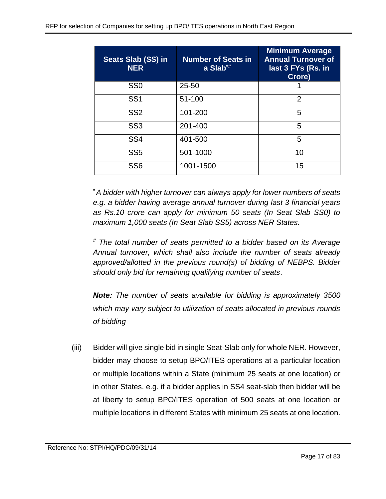| <b>Seats Slab (SS) in</b><br><b>NER</b> | <b>Number of Seats in</b><br>a $Slab^*$ | <b>Minimum Average</b><br><b>Annual Turnover of</b><br>last 3 FYs (Rs. in<br>Crore) |
|-----------------------------------------|-----------------------------------------|-------------------------------------------------------------------------------------|
| SS <sub>0</sub>                         | $25 - 50$                               |                                                                                     |
| SS <sub>1</sub>                         | 51-100                                  | $\overline{2}$                                                                      |
| SS <sub>2</sub>                         | 101-200                                 | 5                                                                                   |
| SS <sub>3</sub>                         | 201-400                                 | 5                                                                                   |
| SS <sub>4</sub>                         | 401-500                                 | 5                                                                                   |
| SS <sub>5</sub>                         | 501-1000                                | 10                                                                                  |
| SS <sub>6</sub>                         | 1001-1500                               | 15                                                                                  |

*\*A bidder with higher turnover can always apply for lower numbers of seats e.g. a bidder having average annual turnover during last 3 financial years as Rs.10 crore can apply for minimum 50 seats (In Seat Slab SS0) to maximum 1,000 seats (In Seat Slab SS5) across NER States.*

*# The total number of seats permitted to a bidder based on its Average Annual turnover, which shall also include the number of seats already approved/allotted in the previous round(s) of bidding of NEBPS. Bidder should only bid for remaining qualifying number of seats*.

*Note: The number of seats available for bidding is approximately 3500 which may vary subject to utilization of seats allocated in previous rounds of bidding*

(iii) Bidder will give single bid in single Seat-Slab only for whole NER. However, bidder may choose to setup BPO/ITES operations at a particular location or multiple locations within a State (minimum 25 seats at one location) or in other States. e.g. if a bidder applies in SS4 seat-slab then bidder will be at liberty to setup BPO/ITES operation of 500 seats at one location or multiple locations in different States with minimum 25 seats at one location.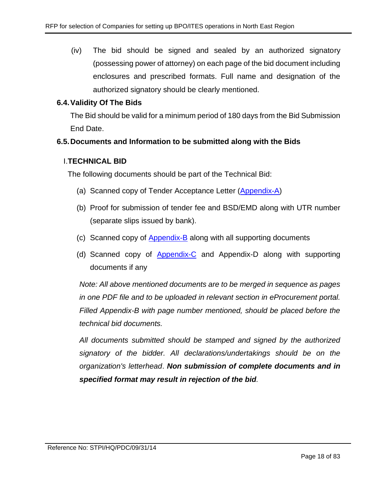(iv) The bid should be signed and sealed by an authorized signatory (possessing power of attorney) on each page of the bid document including enclosures and prescribed formats. Full name and designation of the authorized signatory should be clearly mentioned.

## **6.4.Validity Of The Bids**

The Bid should be valid for a minimum period of 180 days from the Bid Submission End Date.

### **6.5.Documents and Information to be submitted along with the Bids**

### I.**TECHNICAL BID**

The following documents should be part of the Technical Bid:

- (a) Scanned copy of Tender Acceptance Letter [\(Appendix-A\)](#page-44-0)
- (b) Proof for submission of tender fee and BSD/EMD along with UTR number (separate slips issued by bank).
- (c) Scanned copy of [Appendix-B](#page-45-0) along with all supporting documents
- (d) Scanned copy of [Appendix-C](#page-52-0) and Appendix-D along with supporting documents if any

*Note: All above mentioned documents are to be merged in sequence as pages in one PDF file and to be uploaded in relevant section in eProcurement portal. Filled Appendix-B with page number mentioned, should be placed before the technical bid documents.* 

*All documents submitted should be stamped and signed by the authorized signatory of the bidder. All declarations/undertakings should be on the organization's letterhead*. *Non submission of complete documents and in specified format may result in rejection of the bid.*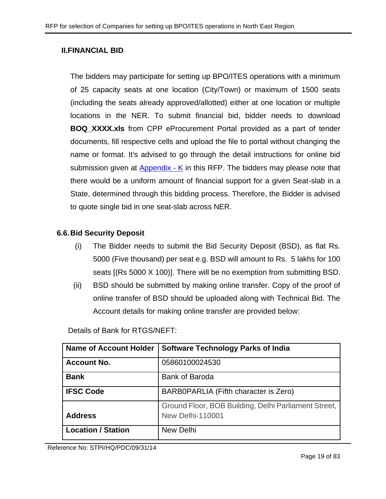#### **II.FINANCIAL BID**

The bidders may participate for setting up BPO/ITES operations with a minimum of 25 capacity seats at one location (City/Town) or maximum of 1500 seats (including the seats already approved/allotted) either at one location or multiple locations in the NER. To submit financial bid, bidder needs to download **BOQ\_XXXX.xls** from CPP eProcurement Portal provided as a part of tender documents, fill respective cells and upload the file to portal without changing the name or format. It's advised to go through the detail instructions for online bid submission given at [Appendix -](#page-77-1) K in this RFP. The bidders may please note that there would be a uniform amount of financial support for a given Seat-slab in a State, determined through this bidding process. Therefore, the Bidder is advised to quote single bid in one seat-slab across NER.

#### **6.6.Bid Security Deposit**

- (i) The Bidder needs to submit the Bid Security Deposit (BSD), as flat Rs. 5000 (Five thousand) per seat e.g. BSD will amount to Rs. 5 lakhs for 100 seats [(Rs 5000 X 100)]. There will be no exemption from submitting BSD.
- (ii) BSD should be submitted by making online transfer. Copy of the proof of online transfer of BSD should be uploaded along with Technical Bid. The Account details for making online transfer are provided below:

Details of Bank for RTGS/NEFT:

| <b>Name of Account Holder</b> | <b>Software Technology Parks of India</b>                                       |  |  |
|-------------------------------|---------------------------------------------------------------------------------|--|--|
| <b>Account No.</b>            | 05860100024530                                                                  |  |  |
| <b>Bank</b>                   | <b>Bank of Baroda</b>                                                           |  |  |
| <b>IFSC Code</b>              | BARB0PARLIA (Fifth character is Zero)                                           |  |  |
| <b>Address</b>                | Ground Floor, BOB Building, Delhi Parliament Street,<br><b>New Delhi-110001</b> |  |  |
| <b>Location / Station</b>     | New Delhi                                                                       |  |  |

Reference No: STPI/HQ/PDC/09/31/14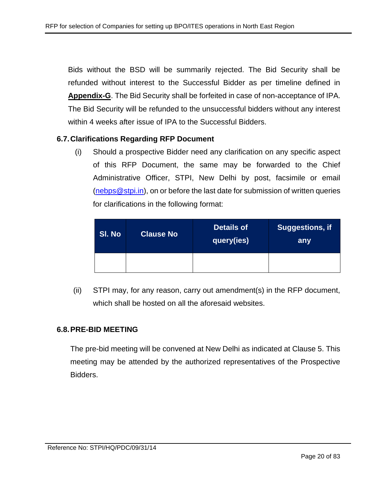Bids without the BSD will be summarily rejected. The Bid Security shall be refunded without interest to the Successful Bidder as per timeline defined in **Appendix-G**. The Bid Security shall be forfeited in case of non-acceptance of IPA. The Bid Security will be refunded to the unsuccessful bidders without any interest within 4 weeks after issue of IPA to the Successful Bidders.

#### **6.7.Clarifications Regarding RFP Document**

(i) Should a prospective Bidder need any clarification on any specific aspect of this RFP Document, the same may be forwarded to the Chief Administrative Officer, STPI, New Delhi by post, facsimile or email [\(nebps@stpi.in\)](mailto:nebps@stpi.in), on or before the last date for submission of written queries for clarifications in the following format:

| SI. No | <b>Clause No</b> | <b>Details of</b><br> query(ies) <sup> </sup> | <b>Suggestions, if</b><br>any |
|--------|------------------|-----------------------------------------------|-------------------------------|
|        |                  |                                               |                               |

(ii) STPI may, for any reason, carry out amendment(s) in the RFP document, which shall be hosted on all the aforesaid websites.

#### **6.8.PRE-BID MEETING**

The pre-bid meeting will be convened at New Delhi as indicated at Clause 5. This meeting may be attended by the authorized representatives of the Prospective Bidders.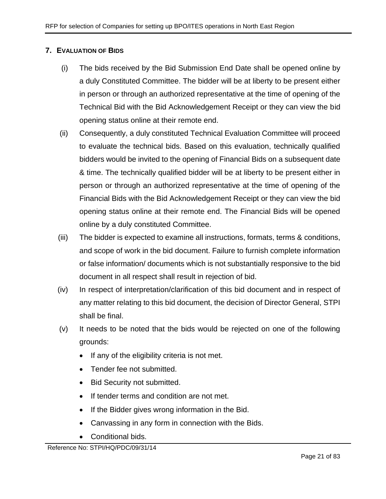## <span id="page-20-0"></span>**7. EVALUATION OF BIDS**

- (i) The bids received by the Bid Submission End Date shall be opened online by a duly Constituted Committee. The bidder will be at liberty to be present either in person or through an authorized representative at the time of opening of the Technical Bid with the Bid Acknowledgement Receipt or they can view the bid opening status online at their remote end.
- (ii) Consequently, a duly constituted Technical Evaluation Committee will proceed to evaluate the technical bids. Based on this evaluation, technically qualified bidders would be invited to the opening of Financial Bids on a subsequent date & time. The technically qualified bidder will be at liberty to be present either in person or through an authorized representative at the time of opening of the Financial Bids with the Bid Acknowledgement Receipt or they can view the bid opening status online at their remote end. The Financial Bids will be opened online by a duly constituted Committee.
- (iii) The bidder is expected to examine all instructions, formats, terms & conditions, and scope of work in the bid document. Failure to furnish complete information or false information/ documents which is not substantially responsive to the bid document in all respect shall result in rejection of bid.
- (iv) In respect of interpretation/clarification of this bid document and in respect of any matter relating to this bid document, the decision of Director General, STPI shall be final.
- (v) It needs to be noted that the bids would be rejected on one of the following grounds:
	- If any of the eligibility criteria is not met.
	- Tender fee not submitted.
	- Bid Security not submitted.
	- If tender terms and condition are not met.
	- If the Bidder gives wrong information in the Bid.
	- Canvassing in any form in connection with the Bids.
	- Conditional bids.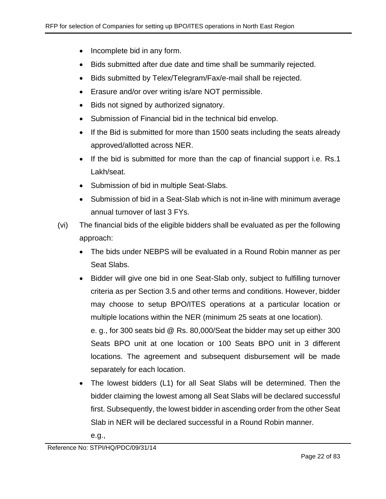- Incomplete bid in any form.
- Bids submitted after due date and time shall be summarily rejected.
- Bids submitted by Telex/Telegram/Fax/e-mail shall be rejected.
- Erasure and/or over writing is/are NOT permissible.
- Bids not signed by authorized signatory.
- Submission of Financial bid in the technical bid envelop.
- If the Bid is submitted for more than 1500 seats including the seats already approved/allotted across NER.
- If the bid is submitted for more than the cap of financial support i.e. Rs.1 Lakh/seat.
- Submission of bid in multiple Seat-Slabs.
- Submission of bid in a Seat-Slab which is not in-line with minimum average annual turnover of last 3 FYs.
- (vi) The financial bids of the eligible bidders shall be evaluated as per the following approach:
	- The bids under NEBPS will be evaluated in a Round Robin manner as per Seat Slabs.
	- Bidder will give one bid in one Seat-Slab only, subject to fulfilling turnover criteria as per Section 3.5 and other terms and conditions. However, bidder may choose to setup BPO/ITES operations at a particular location or multiple locations within the NER (minimum 25 seats at one location).

e. g., for 300 seats bid @ Rs. 80,000/Seat the bidder may set up either 300 Seats BPO unit at one location or 100 Seats BPO unit in 3 different locations. The agreement and subsequent disbursement will be made separately for each location.

• The lowest bidders (L1) for all Seat Slabs will be determined. Then the bidder claiming the lowest among all Seat Slabs will be declared successful first. Subsequently, the lowest bidder in ascending order from the other Seat Slab in NER will be declared successful in a Round Robin manner.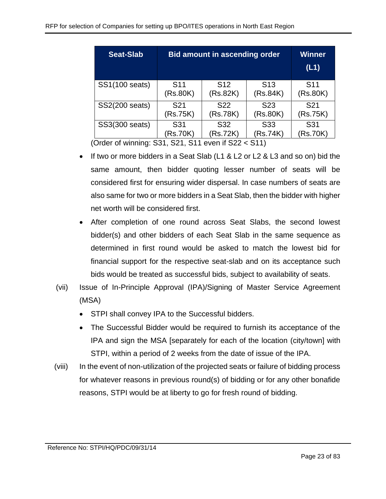| <b>Seat-Slab</b> | <b>Bid amount in ascending order</b> | <b>Winner</b><br>(L1) |                 |                 |
|------------------|--------------------------------------|-----------------------|-----------------|-----------------|
| SS1(100 seats)   | S <sub>11</sub>                      | S <sub>12</sub>       | S <sub>13</sub> | S <sub>11</sub> |
|                  | (Rs.80K)                             | (Rs.82K)              | (Rs.84K)        | (Rs.80K)        |
| SS2(200 seats)   | S <sub>21</sub>                      | S <sub>22</sub>       | S <sub>23</sub> | S <sub>21</sub> |
|                  | (Rs.75K)                             | (Rs.78K)              | (Rs.80K)        | (Rs.75K)        |
| SS3(300 seats)   | S31                                  | S32                   | S <sub>33</sub> | S31             |
|                  | (Rs.70K)                             | (Rs.72K)              | (Rs.74K)        | (Rs.70K)        |

(Order of winning: S31, S21, S11 even if S22 < S11)

- If two or more bidders in a Seat Slab (L1 & L2 or L2 & L3 and so on) bid the same amount, then bidder quoting lesser number of seats will be considered first for ensuring wider dispersal. In case numbers of seats are also same for two or more bidders in a Seat Slab, then the bidder with higher net worth will be considered first.
- After completion of one round across Seat Slabs, the second lowest bidder(s) and other bidders of each Seat Slab in the same sequence as determined in first round would be asked to match the lowest bid for financial support for the respective seat-slab and on its acceptance such bids would be treated as successful bids, subject to availability of seats.
- (vii) Issue of In-Principle Approval (IPA)/Signing of Master Service Agreement (MSA)
	- STPI shall convey IPA to the Successful bidders.
	- The Successful Bidder would be required to furnish its acceptance of the IPA and sign the MSA [separately for each of the location (city/town] with STPI, within a period of 2 weeks from the date of issue of the IPA.
- (viii) In the event of non-utilization of the projected seats or failure of bidding process for whatever reasons in previous round(s) of bidding or for any other bonafide reasons, STPI would be at liberty to go for fresh round of bidding.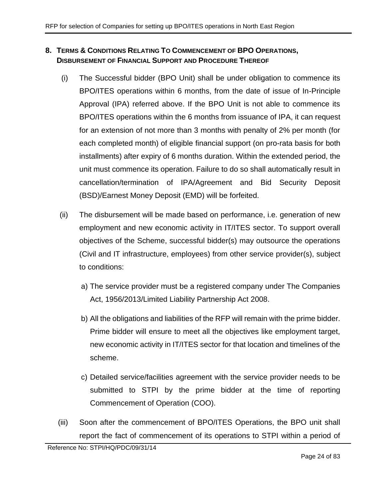## <span id="page-23-0"></span>**8. TERMS & CONDITIONS RELATING TO COMMENCEMENT OF BPO OPERATIONS, DISBURSEMENT OF FINANCIAL SUPPORT AND PROCEDURE THEREOF**

- <span id="page-23-2"></span>(i) The Successful bidder (BPO Unit) shall be under obligation to commence its BPO/ITES operations within 6 months, from the date of issue of In-Principle Approval (IPA) referred above. If the BPO Unit is not able to commence its BPO/ITES operations within the 6 months from issuance of IPA, it can request for an extension of not more than 3 months with penalty of 2% per month (for each completed month) of eligible financial support (on pro-rata basis for both installments) after expiry of 6 months duration. Within the extended period, the unit must commence its operation. Failure to do so shall automatically result in cancellation/termination of IPA/Agreement and Bid Security Deposit (BSD)/Earnest Money Deposit (EMD) will be forfeited.
- (ii) The disbursement will be made based on performance, i.e. generation of new employment and new economic activity in IT/ITES sector. To support overall objectives of the Scheme, successful bidder(s) may outsource the operations (Civil and IT infrastructure, employees) from other service provider(s), subject to conditions:
	- a) The service provider must be a registered company under The Companies Act, 1956/2013/Limited Liability Partnership Act 2008.
	- b) All the obligations and liabilities of the RFP will remain with the prime bidder. Prime bidder will ensure to meet all the objectives like employment target, new economic activity in IT/ITES sector for that location and timelines of the scheme.
	- c) Detailed service/facilities agreement with the service provider needs to be submitted to STPI by the prime bidder at the time of reporting Commencement of Operation (COO).
- <span id="page-23-1"></span>(iii) Soon after the commencement of BPO/ITES Operations, the BPO unit shall report the fact of commencement of its operations to STPI within a period of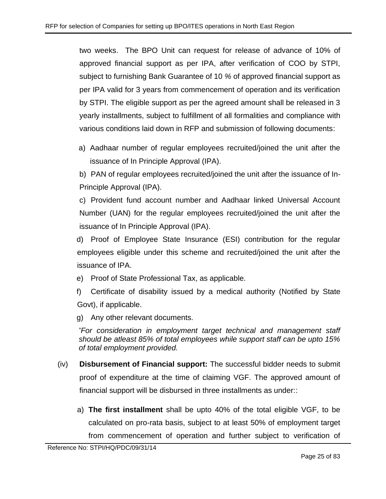two weeks. The BPO Unit can request for release of advance of 10% of approved financial support as per IPA, after verification of COO by STPI, subject to furnishing Bank Guarantee of 10 *%* of approved financial support as per IPA valid for 3 years from commencement of operation and its verification by STPI. The eligible support as per the agreed amount shall be released in 3 yearly installments, subject to fulfillment of all formalities and compliance with various conditions laid down in RFP and submission of following documents:

a) Aadhaar number of regular employees recruited/joined the unit after the issuance of In Principle Approval (IPA).

b) PAN of regular employees recruited/joined the unit after the issuance of In-Principle Approval (IPA).

c) Provident fund account number and Aadhaar linked Universal Account Number (UAN) for the regular employees recruited/joined the unit after the issuance of In Principle Approval (IPA).

d) Proof of Employee State Insurance (ESI) contribution for the regular employees eligible under this scheme and recruited/joined the unit after the issuance of IPA.

- e) Proof of State Professional Tax, as applicable.
- f) Certificate of disability issued by a medical authority (Notified by State Govt), if applicable.

g) Any other relevant documents.

*\*For consideration in employment target technical and management staff should be atleast 85% of total employees while support staff can be upto 15% of total employment provided.*

- (iv) **Disbursement of Financial support:** The successful bidder needs to submit proof of expenditure at the time of claiming VGF. The approved amount of financial support will be disbursed in three installments as under::
	- a) **The first installment** shall be upto 40% of the total eligible VGF, to be calculated on pro-rata basis, subject to at least 50% of employment target from commencement of operation and further subject to verification of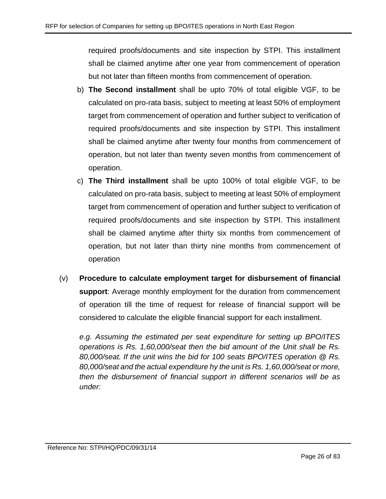required proofs/documents and site inspection by STPI. This installment shall be claimed anytime after one year from commencement of operation but not later than fifteen months from commencement of operation.

- b) **The Second installment** shall be upto 70% of total eligible VGF, to be calculated on pro-rata basis, subject to meeting at least 50% of employment target from commencement of operation and further subject to verification of required proofs/documents and site inspection by STPI. This installment shall be claimed anytime after twenty four months from commencement of operation, but not later than twenty seven months from commencement of operation.
- c) **The Third installment** shall be upto 100% of total eligible VGF, to be calculated on pro-rata basis, subject to meeting at least 50% of employment target from commencement of operation and further subject to verification of required proofs/documents and site inspection by STPI. This installment shall be claimed anytime after thirty six months from commencement of operation, but not later than thirty nine months from commencement of operation
- (v) **Procedure to calculate employment target for disbursement of financial support**: Average monthly employment for the duration from commencement of operation till the time of request for release of financial support will be considered to calculate the eligible financial support for each installment.

*e.g. Assuming the estimated per seat expenditure for setting up BPO/ITES operations is Rs. 1,60,000/seat then the bid amount of the Unit shall be Rs. 80,000/seat. If the unit wins the bid for 100 seats BPO/ITES operation @ Rs. 80,000/seat and the actual expenditure hy the unit is Rs. 1,60,000/seat or more, then the disbursement of financial support in different scenarios will be as under:*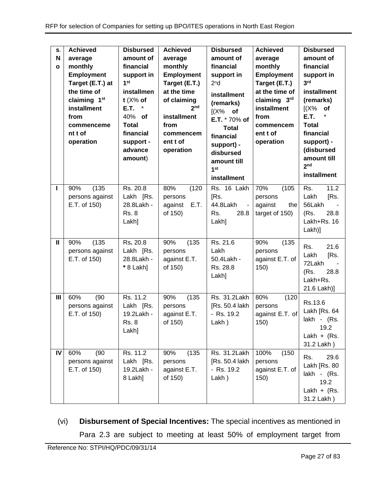| S.<br>N<br>$\mathbf{o}$ | <b>Achieved</b><br>average<br>monthly<br><b>Employment</b><br>Target (E.T.) at<br>the time of<br>claiming 1 <sup>st</sup><br>installment<br>from<br>commenceme<br>nt t of<br>operation | <b>Disbursed</b><br>amount of<br>financial<br>support in<br>1 <sup>st</sup><br>installmen<br>t $(X\%$ of<br>E.T.<br>$\star$<br>40% of<br><b>Total</b><br>financial<br>support -<br>advance<br>amount) | <b>Achieved</b><br>average<br>monthly<br><b>Employment</b><br>Target (E.T.)<br>at the time<br>of claiming<br>2 <sub>nd</sub><br>installment<br>from<br>commencem<br>ent t of<br>operation | <b>Disbursed</b><br>amount of<br>financial<br>support in<br>2 <sup>n</sup> d<br>installment<br>(remarks)<br>$[(X\%$ of<br>E.T. * 70% of<br><b>Total</b><br>financial<br>support) -<br>disbursed<br>amount till<br>1 <sup>st</sup><br>installment | <b>Achieved</b><br>average<br>monthly<br><b>Employment</b><br>Target (E.T.)<br>at the time of<br>claiming 3rd<br>installment<br>from<br>commencem<br>ent t of<br>operation | <b>Disbursed</b><br>amount of<br>financial<br>support in<br>3 <sup>rd</sup><br>installment<br>(remarks)<br>(X%<br>of<br><b>E.T.</b><br><b>Total</b><br>financial<br>support) -<br>(disbursed<br>amount till<br>2 <sub>nd</sub><br>installment |
|-------------------------|----------------------------------------------------------------------------------------------------------------------------------------------------------------------------------------|-------------------------------------------------------------------------------------------------------------------------------------------------------------------------------------------------------|-------------------------------------------------------------------------------------------------------------------------------------------------------------------------------------------|--------------------------------------------------------------------------------------------------------------------------------------------------------------------------------------------------------------------------------------------------|----------------------------------------------------------------------------------------------------------------------------------------------------------------------------|-----------------------------------------------------------------------------------------------------------------------------------------------------------------------------------------------------------------------------------------------|
| ı                       | (135)<br>90%<br>persons against<br>E.T. of 150)                                                                                                                                        | Rs. 20.8<br>Lakh [Rs.<br>28.8Lakh -<br><b>Rs. 8</b><br>Lakh]                                                                                                                                          | 80%<br>(120)<br>persons<br>E.T.<br>against<br>of 150)                                                                                                                                     | Rs. 16 Lakh<br>[Rs.<br>44.8Lakh<br>$\sim$<br>Rs.<br>28.8<br>Lakh]                                                                                                                                                                                | 70%<br>(105)<br>persons<br>against<br>the<br>target of 150)                                                                                                                | 11.2<br>Rs.<br>Lakh<br>[Rs.<br>56Lakh<br>(Rs.<br>28.8<br>Lakh+Rs, 16<br>Lakh)]                                                                                                                                                                |
| $\mathbf{I}$            | (135)<br>90%<br>persons against<br>E.T. of 150)                                                                                                                                        | Rs. 20.8<br>Lakh [Rs.<br>28.8Lakh -<br>* 8 Lakh]                                                                                                                                                      | 90%<br>(135)<br>persons<br>against E.T.<br>of 150)                                                                                                                                        | Rs. 21.6<br>Lakh<br>50.4Lakh -<br>Rs. 28.8<br>Lakh]                                                                                                                                                                                              | 90%<br>(135)<br>persons<br>against E.T. of<br>150)                                                                                                                         | 21.6<br>Rs.<br>[Rs.<br>Lakh<br>72Lakh<br>28.8<br>(Rs.<br>Lakh+Rs.<br>21.6 Lakh)]                                                                                                                                                              |
| Ш                       | 60%<br>(90)<br>persons against<br>E.T. of 150)                                                                                                                                         | Rs. 11.2<br>Lakh [Rs.<br>19.2Lakh -<br><b>Rs. 8</b><br>Lakh]                                                                                                                                          | (135)<br>90%<br>persons<br>against E.T.<br>of 150)                                                                                                                                        | Rs. 31.2Lakh<br>[Rs. 50.4 lakh]<br>- Rs. 19.2<br>Lakh)                                                                                                                                                                                           | 80%<br>(120)<br>persons<br>against E.T. of<br>150)                                                                                                                         | Rs.13.6<br>Lakh [Rs. 64<br>lakh - (Rs.<br>19.2<br>Lakh + $(Rs.$<br>31.2 Lakh)                                                                                                                                                                 |
| IV                      | 60%<br>(90)<br>persons against<br>E.T. of 150)                                                                                                                                         | Rs. 11.2<br>Lakh [Rs.<br>19.2Lakh -<br>8 Lakh]                                                                                                                                                        | (135)<br>90%<br>persons<br>against E.T.<br>of 150)                                                                                                                                        | Rs. 31.2Lakh<br>[Rs. 50.4 lakh<br>- Rs. 19.2<br>Lakh)                                                                                                                                                                                            | 100%<br>(150)<br>persons<br>against E.T. of<br>150)                                                                                                                        | 29.6<br>Rs.<br>Lakh [Rs. 80<br>lakh - (Rs.<br>19.2<br>Lakh + $(Rs.$<br>31.2 Lakh)                                                                                                                                                             |

(vi) **Disbursement of Special Incentives:** The special incentives as mentioned in Para [2.3](#page-6-1) are subject to meeting at least 50% of employment target from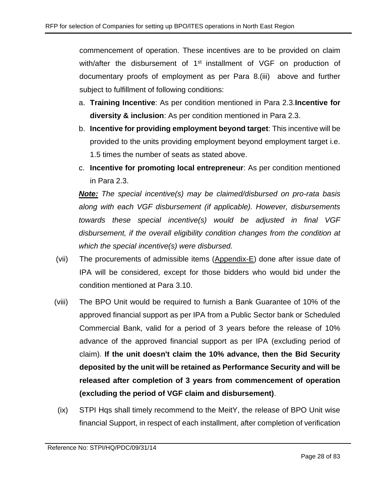commencement of operation. These incentives are to be provided on claim with/after the disbursement of 1<sup>st</sup> installment of VGF on production of documentary proofs of employment as per Para 8[.\(iii\)](#page-23-1) above and further subject to fulfillment of following conditions:

- a. **Training Incentive**: As per condition mentioned in Para [2.3.](#page-6-1)**Incentive for diversity & inclusion**: As per condition mentioned in Para [2.3.](#page-6-1)
- b. **Incentive for providing employment beyond target**: This incentive will be provided to the units providing employment beyond employment target i.e. 1.5 times the number of seats as stated above.
- c. **Incentive for promoting local entrepreneur**: As per condition mentioned in Para [2.3.](#page-6-1)

*Note: The special incentive(s) may be claimed/disbursed on pro-rata basis along with each VGF disbursement (if applicable). However, disbursements towards these special incentive(s) would be adjusted in final VGF disbursement, if the overall eligibility condition changes from the condition at which the special incentive(s) were disbursed.*

- (vii) The procurements of admissible items [\(Appendix-E\)](#page-54-0) done after issue date of IPA will be considered, except for those bidders who would bid under the condition mentioned at Para [3.10.](#page-11-0)
- (viii) The BPO Unit would be required to furnish a Bank Guarantee of 10% of the approved financial support as per IPA from a Public Sector bank or Scheduled Commercial Bank, valid for a period of 3 years before the release of 10% advance of the approved financial support as per IPA (excluding period of claim). **If the unit doesn't claim the 10% advance, then the Bid Security deposited by the unit will be retained as Performance Security and will be released after completion of 3 years from commencement of operation (excluding the period of VGF claim and disbursement)**.
- (ix) STPI Hqs shall timely recommend to the MeitY, the release of BPO Unit wise financial Support, in respect of each installment, after completion of verification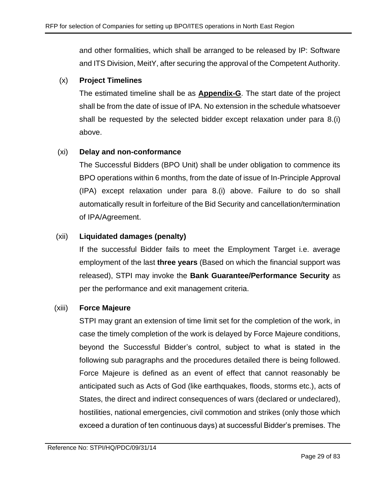and other formalities, which shall be arranged to be released by IP: Software and ITS Division, MeitY, after securing the approval of the Competent Authority.

## (x) **Project Timelines**

The estimated timeline shall be as **[Appendix-G](#page-56-0)**. The start date of the project shall be from the date of issue of IPA. No extension in the schedule whatsoever shall be requested by the selected bidder except relaxation under para 8[.\(i\)](#page-23-2) above.

## (xi) **Delay and non-conformance**

The Successful Bidders (BPO Unit) shall be under obligation to commence its BPO operations within 6 months, from the date of issue of In-Principle Approval (IPA) except relaxation under para 8[.\(i\)](#page-23-2) above. Failure to do so shall automatically result in forfeiture of the Bid Security and cancellation/termination of IPA/Agreement.

## (xii) **Liquidated damages (penalty)**

If the successful Bidder fails to meet the Employment Target i.e. average employment of the last **three years** (Based on which the financial support was released), STPI may invoke the **Bank Guarantee/Performance Security** as per the performance and exit management criteria.

## (xiii) **Force Majeure**

STPI may grant an extension of time limit set for the completion of the work, in case the timely completion of the work is delayed by Force Majeure conditions, beyond the Successful Bidder's control, subject to what is stated in the following sub paragraphs and the procedures detailed there is being followed. Force Majeure is defined as an event of effect that cannot reasonably be anticipated such as Acts of God (like earthquakes, floods, storms etc.), acts of States, the direct and indirect consequences of wars (declared or undeclared), hostilities, national emergencies, civil commotion and strikes (only those which exceed a duration of ten continuous days) at successful Bidder's premises. The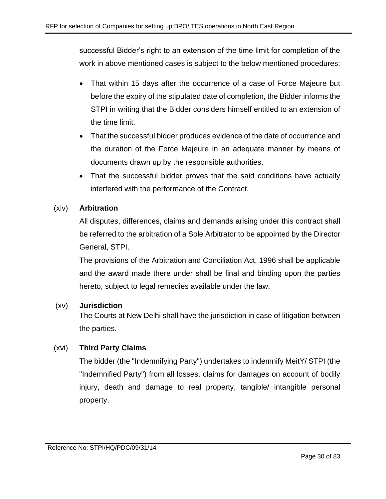successful Bidder's right to an extension of the time limit for completion of the work in above mentioned cases is subject to the below mentioned procedures:

- That within 15 days after the occurrence of a case of Force Majeure but before the expiry of the stipulated date of completion, the Bidder informs the STPI in writing that the Bidder considers himself entitled to an extension of the time limit.
- That the successful bidder produces evidence of the date of occurrence and the duration of the Force Majeure in an adequate manner by means of documents drawn up by the responsible authorities.
- That the successful bidder proves that the said conditions have actually interfered with the performance of the Contract.

## (xiv) **Arbitration**

All disputes, differences, claims and demands arising under this contract shall be referred to the arbitration of a Sole Arbitrator to be appointed by the Director General, STPI.

The provisions of the Arbitration and Conciliation Act, 1996 shall be applicable and the award made there under shall be final and binding upon the parties hereto, subject to legal remedies available under the law.

## (xv) **Jurisdiction**

The Courts at New Delhi shall have the jurisdiction in case of litigation between the parties.

## (xvi) **Third Party Claims**

The bidder (the "Indemnifying Party") undertakes to indemnify MeitY/ STPI (the "Indemnified Party") from all losses, claims for damages on account of bodily injury, death and damage to real property, tangible/ intangible personal property.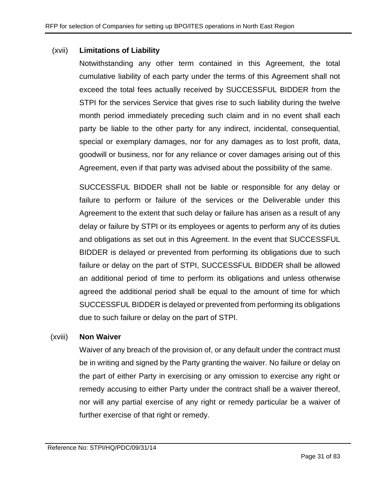#### (xvii) **Limitations of Liability**

Notwithstanding any other term contained in this Agreement, the total cumulative liability of each party under the terms of this Agreement shall not exceed the total fees actually received by SUCCESSFUL BIDDER from the STPI for the services Service that gives rise to such liability during the twelve month period immediately preceding such claim and in no event shall each party be liable to the other party for any indirect, incidental, consequential, special or exemplary damages, nor for any damages as to lost profit, data, goodwill or business, nor for any reliance or cover damages arising out of this Agreement, even if that party was advised about the possibility of the same.

SUCCESSFUL BIDDER shall not be liable or responsible for any delay or failure to perform or failure of the services or the Deliverable under this Agreement to the extent that such delay or failure has arisen as a result of any delay or failure by STPI or its employees or agents to perform any of its duties and obligations as set out in this Agreement. In the event that SUCCESSFUL BIDDER is delayed or prevented from performing its obligations due to such failure or delay on the part of STPI, SUCCESSFUL BIDDER shall be allowed an additional period of time to perform its obligations and unless otherwise agreed the additional period shall be equal to the amount of time for which SUCCESSFUL BIDDER is delayed or prevented from performing its obligations due to such failure or delay on the part of STPI.

#### (xviii) **Non Waiver**

Waiver of any breach of the provision of, or any default under the contract must be in writing and signed by the Party granting the waiver. No failure or delay on the part of either Party in exercising or any omission to exercise any right or remedy accusing to either Party under the contract shall be a waiver thereof, nor will any partial exercise of any right or remedy particular be a waiver of further exercise of that right or remedy.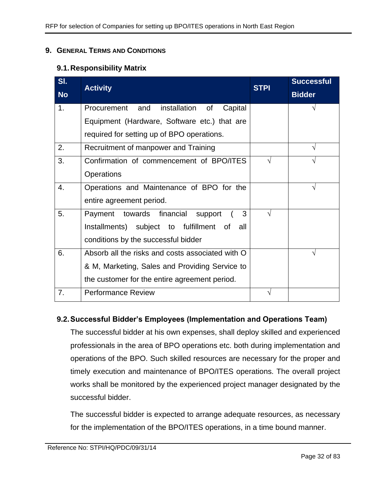#### <span id="page-31-0"></span>**9. GENERAL TERMS AND CONDITIONS**

## **9.1.Responsibility Matrix**

| SI.            | <b>Activity</b>                                  | <b>STPI</b> | <b>Successful</b> |
|----------------|--------------------------------------------------|-------------|-------------------|
| <b>No</b>      |                                                  |             | <b>Bidder</b>     |
| 1 <sub>1</sub> | Procurement and<br>installation of<br>Capital    |             | V                 |
|                | Equipment (Hardware, Software etc.) that are     |             |                   |
|                | required for setting up of BPO operations.       |             |                   |
| 2.             | Recruitment of manpower and Training             |             |                   |
| 3.             | Confirmation of commencement of BPO/ITES         | $\sqrt{ }$  |                   |
|                | Operations                                       |             |                   |
| 4.             | Operations and Maintenance of BPO for the        |             | V                 |
|                | entire agreement period.                         |             |                   |
| 5.             | Payment towards financial support<br>3           | $\sqrt{}$   |                   |
|                | Installments) subject to fulfillment of<br>all   |             |                   |
|                | conditions by the successful bidder              |             |                   |
| 6.             | Absorb all the risks and costs associated with O |             | V                 |
|                | & M, Marketing, Sales and Providing Service to   |             |                   |
|                | the customer for the entire agreement period.    |             |                   |
| 7.             | <b>Performance Review</b>                        | V           |                   |

## **9.2.Successful Bidder's Employees (Implementation and Operations Team)**

The successful bidder at his own expenses, shall deploy skilled and experienced professionals in the area of BPO operations etc. both during implementation and operations of the BPO. Such skilled resources are necessary for the proper and timely execution and maintenance of BPO/ITES operations. The overall project works shall be monitored by the experienced project manager designated by the successful bidder.

The successful bidder is expected to arrange adequate resources, as necessary for the implementation of the BPO/ITES operations, in a time bound manner.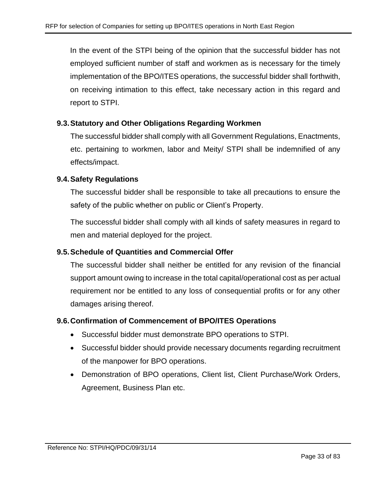In the event of the STPI being of the opinion that the successful bidder has not employed sufficient number of staff and workmen as is necessary for the timely implementation of the BPO/ITES operations, the successful bidder shall forthwith, on receiving intimation to this effect, take necessary action in this regard and report to STPI.

## **9.3.Statutory and Other Obligations Regarding Workmen**

The successful bidder shall comply with all Government Regulations, Enactments, etc. pertaining to workmen, labor and Meity/ STPI shall be indemnified of any effects/impact.

### **9.4.Safety Regulations**

The successful bidder shall be responsible to take all precautions to ensure the safety of the public whether on public or Client's Property.

The successful bidder shall comply with all kinds of safety measures in regard to men and material deployed for the project.

## **9.5.Schedule of Quantities and Commercial Offer**

The successful bidder shall neither be entitled for any revision of the financial support amount owing to increase in the total capital/operational cost as per actual requirement nor be entitled to any loss of consequential profits or for any other damages arising thereof.

#### **9.6.Confirmation of Commencement of BPO/ITES Operations**

- Successful bidder must demonstrate BPO operations to STPI.
- Successful bidder should provide necessary documents regarding recruitment of the manpower for BPO operations.
- Demonstration of BPO operations, Client list, Client Purchase/Work Orders, Agreement, Business Plan etc.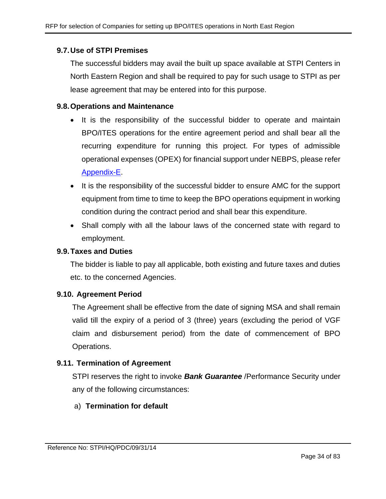## **9.7.Use of STPI Premises**

The successful bidders may avail the built up space available at STPI Centers in North Eastern Region and shall be required to pay for such usage to STPI as per lease agreement that may be entered into for this purpose.

#### **9.8.Operations and Maintenance**

- It is the responsibility of the successful bidder to operate and maintain BPO/ITES operations for the entire agreement period and shall bear all the recurring expenditure for running this project. For types of admissible operational expenses (OPEX) for financial support under NEBPS, please refer [Appendix-E.](#page-54-0)
- It is the responsibility of the successful bidder to ensure AMC for the support equipment from time to time to keep the BPO operations equipment in working condition during the contract period and shall bear this expenditure.
- Shall comply with all the labour laws of the concerned state with regard to employment.

#### **9.9.Taxes and Duties**

The bidder is liable to pay all applicable, both existing and future taxes and duties etc. to the concerned Agencies.

## **9.10. Agreement Period**

The Agreement shall be effective from the date of signing MSA and shall remain valid till the expiry of a period of 3 (three) years (excluding the period of VGF claim and disbursement period) from the date of commencement of BPO Operations.

## **9.11. Termination of Agreement**

STPI reserves the right to invoke *Bank Guarantee* /Performance Security under any of the following circumstances:

## a) **Termination for default**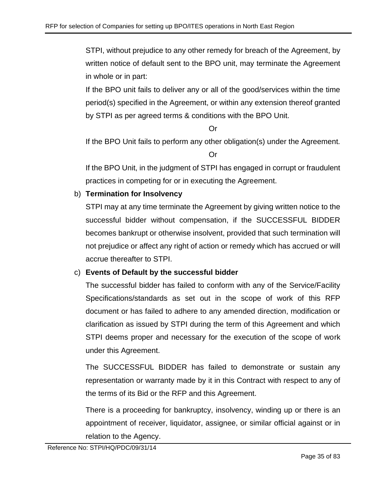STPI, without prejudice to any other remedy for breach of the Agreement, by written notice of default sent to the BPO unit, may terminate the Agreement in whole or in part:

If the BPO unit fails to deliver any or all of the good/services within the time period(s) specified in the Agreement, or within any extension thereof granted by STPI as per agreed terms & conditions with the BPO Unit.

Or

If the BPO Unit fails to perform any other obligation(s) under the Agreement.

Or

If the BPO Unit, in the judgment of STPI has engaged in corrupt or fraudulent practices in competing for or in executing the Agreement.

## b) **Termination for Insolvency**

STPI may at any time terminate the Agreement by giving written notice to the successful bidder without compensation, if the SUCCESSFUL BIDDER becomes bankrupt or otherwise insolvent, provided that such termination will not prejudice or affect any right of action or remedy which has accrued or will accrue thereafter to STPI.

## c) **Events of Default by the successful bidder**

The successful bidder has failed to conform with any of the Service/Facility Specifications/standards as set out in the scope of work of this RFP document or has failed to adhere to any amended direction, modification or clarification as issued by STPI during the term of this Agreement and which STPI deems proper and necessary for the execution of the scope of work under this Agreement.

The SUCCESSFUL BIDDER has failed to demonstrate or sustain any representation or warranty made by it in this Contract with respect to any of the terms of its Bid or the RFP and this Agreement.

There is a proceeding for bankruptcy, insolvency, winding up or there is an appointment of receiver, liquidator, assignee, or similar official against or in relation to the Agency.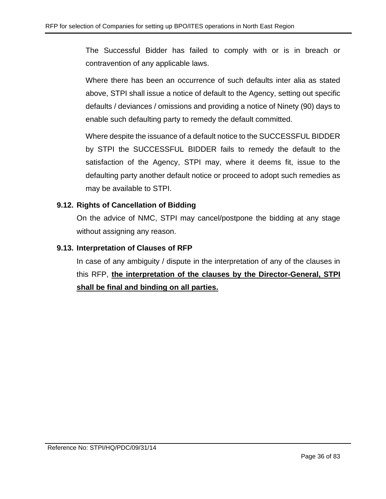The Successful Bidder has failed to comply with or is in breach or contravention of any applicable laws.

Where there has been an occurrence of such defaults inter alia as stated above, STPI shall issue a notice of default to the Agency, setting out specific defaults / deviances / omissions and providing a notice of Ninety (90) days to enable such defaulting party to remedy the default committed.

Where despite the issuance of a default notice to the SUCCESSFUL BIDDER by STPI the SUCCESSFUL BIDDER fails to remedy the default to the satisfaction of the Agency, STPI may, where it deems fit, issue to the defaulting party another default notice or proceed to adopt such remedies as may be available to STPI.

## **9.12. Rights of Cancellation of Bidding**

On the advice of NMC, STPI may cancel/postpone the bidding at any stage without assigning any reason.

## **9.13. Interpretation of Clauses of RFP**

In case of any ambiguity / dispute in the interpretation of any of the clauses in this RFP, **the interpretation of the clauses by the Director-General, STPI shall be final and binding on all parties.**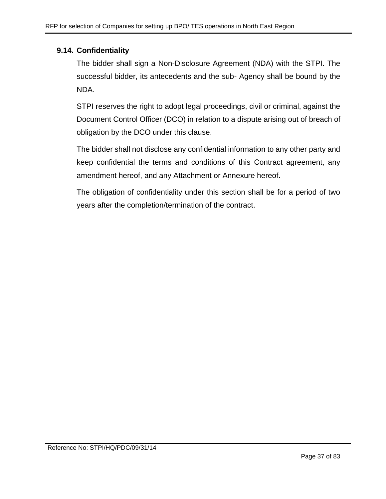## **9.14. Confidentiality**

The bidder shall sign a Non-Disclosure Agreement (NDA) with the STPI. The successful bidder, its antecedents and the sub- Agency shall be bound by the NDA.

STPI reserves the right to adopt legal proceedings, civil or criminal, against the Document Control Officer (DCO) in relation to a dispute arising out of breach of obligation by the DCO under this clause.

The bidder shall not disclose any confidential information to any other party and keep confidential the terms and conditions of this Contract agreement, any amendment hereof, and any Attachment or Annexure hereof.

The obligation of confidentiality under this section shall be for a period of two years after the completion/termination of the contract.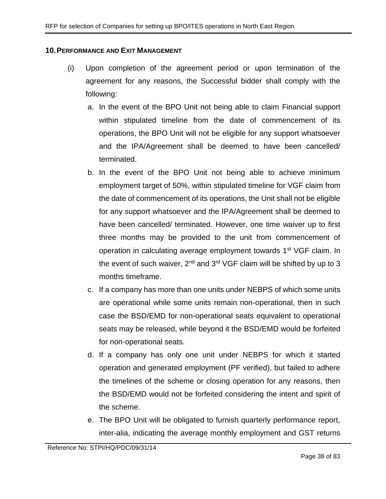#### **10.PERFORMANCE AND EXIT MANAGEMENT**

- (i) Upon completion of the agreement period or upon termination of the agreement for any reasons, the Successful bidder shall comply with the following:
	- a. In the event of the BPO Unit not being able to claim Financial support within stipulated timeline from the date of commencement of its operations, the BPO Unit will not be eligible for any support whatsoever and the IPA/Agreement shall be deemed to have been cancelled/ terminated.
	- b. In the event of the BPO Unit not being able to achieve minimum employment target of 50%, within stipulated timeline for VGF claim from the date of commencement of its operations, the Unit shall not be eligible for any support whatsoever and the IPA/Agreement shall be deemed to have been cancelled/ terminated. However, one time waiver up to first three months may be provided to the unit from commencement of operation in calculating average employment towards 1<sup>st</sup> VGF claim. In the event of such waiver,  $2^{nd}$  and  $3^{rd}$  VGF claim will be shifted by up to 3 months timeframe.
	- c. If a company has more than one units under NEBPS of which some units are operational while some units remain non-operational, then in such case the BSD/EMD for non-operational seats equivalent to operational seats may be released, while beyond it the BSD/EMD would be forfeited for non-operational seats.
	- d. If a company has only one unit under NEBPS for which it started operation and generated employment (PF verified), but failed to adhere the timelines of the scheme or closing operation for any reasons, then the BSD/EMD would not be forfeited considering the intent and spirit of the scheme.
	- e. The BPO Unit will be obligated to furnish quarterly performance report, inter-alia, indicating the average monthly employment and GST returns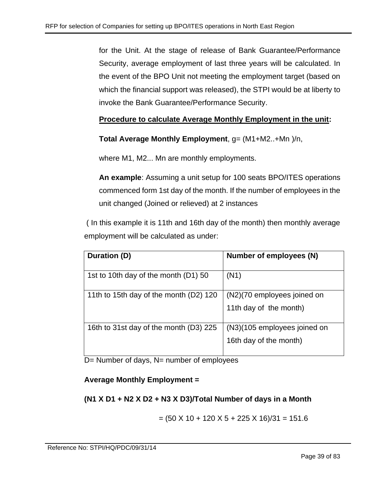for the Unit. At the stage of release of Bank Guarantee/Performance Security, average employment of last three years will be calculated. In the event of the BPO Unit not meeting the employment target (based on which the financial support was released), the STPI would be at liberty to invoke the Bank Guarantee/Performance Security.

# **Procedure to calculate Average Monthly Employment in the unit:**

**Total Average Monthly Employment**, g= (M1+M2..+Mn )/n,

where M1, M2... Mn are monthly employments.

**An example**: Assuming a unit setup for 100 seats BPO/ITES operations commenced form 1st day of the month. If the number of employees in the unit changed (Joined or relieved) at 2 instances

( In this example it is 11th and 16th day of the month) then monthly average employment will be calculated as under:

| Duration (D)                           | Number of employees (N)                               |
|----------------------------------------|-------------------------------------------------------|
| 1st to 10th day of the month (D1) 50   | (N1)                                                  |
| 11th to 15th day of the month (D2) 120 | (N2)(70 employees joined on<br>11th day of the month) |
|                                        |                                                       |
| 16th to 31st day of the month (D3) 225 | (N3)(105 employees joined on                          |
|                                        | 16th day of the month)                                |

D= Number of days, N= number of employees

## **Average Monthly Employment =**

# **(N1 X D1 + N2 X D2 + N3 X D3)/Total Number of days in a Month**

$$
= (50 \times 10 + 120 \times 5 + 225 \times 16)/31 = 151.6
$$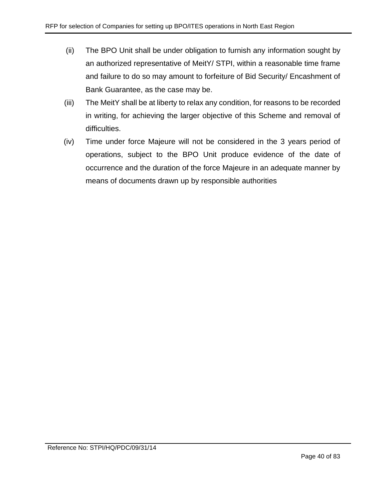- (ii) The BPO Unit shall be under obligation to furnish any information sought by an authorized representative of MeitY/ STPI, within a reasonable time frame and failure to do so may amount to forfeiture of Bid Security/ Encashment of Bank Guarantee, as the case may be.
- (iii) The MeitY shall be at liberty to relax any condition, for reasons to be recorded in writing, for achieving the larger objective of this Scheme and removal of difficulties.
- (iv) Time under force Majeure will not be considered in the 3 years period of operations, subject to the BPO Unit produce evidence of the date of occurrence and the duration of the force Majeure in an adequate manner by means of documents drawn up by responsible authorities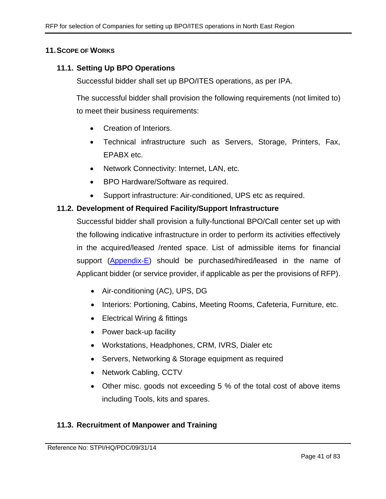#### **11.SCOPE OF WORKS**

#### **11.1. Setting Up BPO Operations**

Successful bidder shall set up BPO/ITES operations, as per IPA.

The successful bidder shall provision the following requirements (not limited to) to meet their business requirements:

- Creation of Interiors.
- Technical infrastructure such as Servers, Storage, Printers, Fax, EPABX etc.
- Network Connectivity: Internet, LAN, etc.
- BPO Hardware/Software as required.
- Support infrastructure: Air-conditioned, UPS etc as required.

#### **11.2. Development of Required Facility/Support Infrastructure**

Successful bidder shall provision a fully-functional BPO/Call center set up with the following indicative infrastructure in order to perform its activities effectively in the acquired/leased /rented space. List of admissible items for financial support [\(Appendix-E\)](#page-54-0) should be purchased/hired/leased in the name of Applicant bidder (or service provider, if applicable as per the provisions of RFP).

- Air-conditioning (AC), UPS, DG
- Interiors: Portioning, Cabins, Meeting Rooms, Cafeteria, Furniture, etc.
- Electrical Wiring & fittings
- Power back-up facility
- Workstations, Headphones, CRM, IVRS, Dialer etc
- Servers, Networking & Storage equipment as required
- Network Cabling, CCTV
- Other misc. goods not exceeding 5 % of the total cost of above items including Tools, kits and spares.

#### **11.3. Recruitment of Manpower and Training**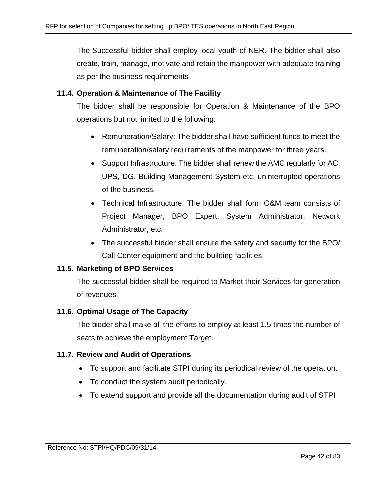The Successful bidder shall employ local youth of NER. The bidder shall also create, train, manage, motivate and retain the manpower with adequate training as per the business requirements

## **11.4. Operation & Maintenance of The Facility**

The bidder shall be responsible for Operation & Maintenance of the BPO operations but not limited to the following:

- Remuneration/Salary: The bidder shall have sufficient funds to meet the remuneration/salary requirements of the manpower for three years.
- Support Infrastructure: The bidder shall renew the AMC regularly for AC, UPS, DG, Building Management System etc. uninterrupted operations of the business.
- Technical Infrastructure: The bidder shall form O&M team consists of Project Manager, BPO Expert, System Administrator, Network Administrator, etc.
- The successful bidder shall ensure the safety and security for the BPO/ Call Center equipment and the building facilities.

## **11.5. Marketing of BPO Services**

The successful bidder shall be required to Market their Services for generation of revenues.

#### **11.6. Optimal Usage of The Capacity**

The bidder shall make all the efforts to employ at least 1.5 times the number of seats to achieve the employment Target.

#### **11.7. Review and Audit of Operations**

- To support and facilitate STPI during its periodical review of the operation.
- To conduct the system audit periodically.
- To extend support and provide all the documentation during audit of STPI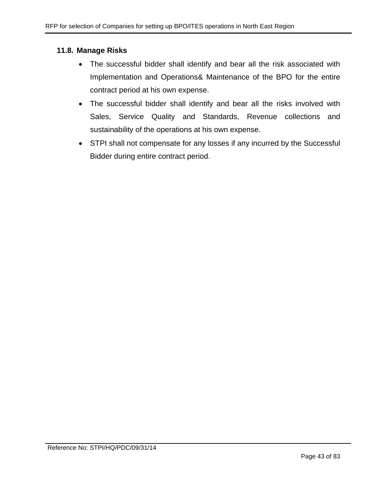## **11.8. Manage Risks**

- The successful bidder shall identify and bear all the risk associated with Implementation and Operations& Maintenance of the BPO for the entire contract period at his own expense.
- The successful bidder shall identify and bear all the risks involved with Sales, Service Quality and Standards, Revenue collections and sustainability of the operations at his own expense.
- STPI shall not compensate for any losses if any incurred by the Successful Bidder during entire contract period.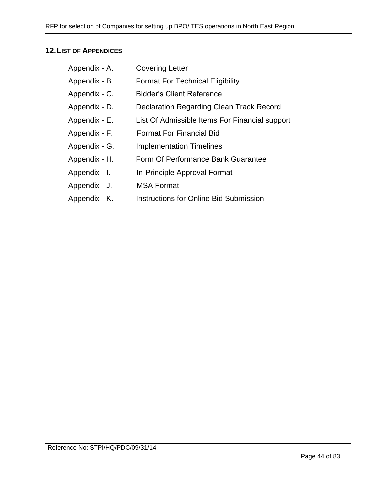# **12.LIST OF APPENDICES**

| Appendix - A. | <b>Covering Letter</b>                         |
|---------------|------------------------------------------------|
| Appendix - B. | <b>Format For Technical Eligibility</b>        |
| Appendix - C. | <b>Bidder's Client Reference</b>               |
| Appendix - D. | Declaration Regarding Clean Track Record       |
| Appendix - E. | List Of Admissible Items For Financial support |
| Appendix - F. | <b>Format For Financial Bid</b>                |
| Appendix - G. | <b>Implementation Timelines</b>                |
| Appendix - H. | Form Of Performance Bank Guarantee             |
| Appendix - I. | In-Principle Approval Format                   |
| Appendix - J. | <b>MSA Format</b>                              |
|               |                                                |

Appendix - K. Instructions for Online Bid Submission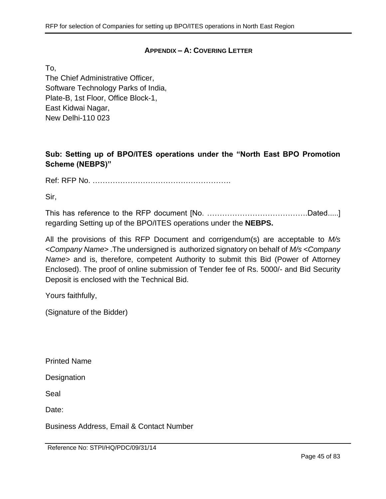## **APPENDIX – A: COVERING LETTER**

To,

The Chief Administrative Officer, Software Technology Parks of India, Plate-B, 1st Floor, Office Block-1, East Kidwai Nagar, New Delhi-110 023

# **Sub: Setting up of BPO/ITES operations under the "North East BPO Promotion Scheme (NEBPS)"**

Ref: RFP No. ……………………………………………….

Sir,

This has reference to the RFP document [No. ………………………………….Dated.....] regarding Setting up of the BPO/ITES operations under the **NEBPS.**

All the provisions of this RFP Document and corrigendum(s) are acceptable to *M/s <Company Name>* .The undersigned is authorized signatory on behalf of *M/s <Company Name>* and is, therefore, competent Authority to submit this Bid (Power of Attorney Enclosed). The proof of online submission of Tender fee of Rs. 5000/- and Bid Security Deposit is enclosed with the Technical Bid.

Yours faithfully,

(Signature of the Bidder)

Printed Name

**Designation** 

Seal

Date:

Business Address, Email & Contact Number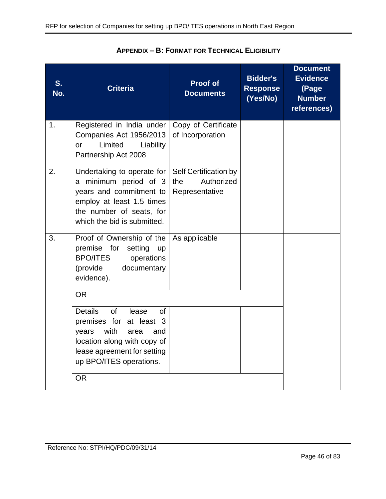| S.<br>No. | <b>Criteria</b>                                                                                                                                                                                                    | <b>Proof of</b><br><b>Documents</b>                          | <b>Bidder's</b><br><b>Response</b><br>(Yes/No) | <b>Document</b><br><b>Evidence</b><br>(Page<br><b>Number</b><br>references) |
|-----------|--------------------------------------------------------------------------------------------------------------------------------------------------------------------------------------------------------------------|--------------------------------------------------------------|------------------------------------------------|-----------------------------------------------------------------------------|
| 1.        | Registered in India under<br>Companies Act 1956/2013<br>Limited<br>Liability<br>or<br>Partnership Act 2008                                                                                                         | Copy of Certificate<br>of Incorporation                      |                                                |                                                                             |
| 2.        | Undertaking to operate for<br>a minimum period of 3<br>years and commitment to<br>employ at least 1.5 times<br>the number of seats, for<br>which the bid is submitted.                                             | Self Certification by<br>Authorized<br>the<br>Representative |                                                |                                                                             |
| 3.        | Proof of Ownership of the<br>premise for setting<br><b>up</b><br><b>BPO/ITES</b><br>operations<br>(provide<br>documentary<br>evidence).<br><b>OR</b>                                                               | As applicable                                                |                                                |                                                                             |
|           | <b>Details</b><br><b>of</b><br>lease<br><b>of</b><br>premises for at least 3<br>with<br>years<br>area<br>and<br>location along with copy of<br>lease agreement for setting<br>up BPO/ITES operations.<br><b>OR</b> |                                                              |                                                |                                                                             |
|           |                                                                                                                                                                                                                    |                                                              |                                                |                                                                             |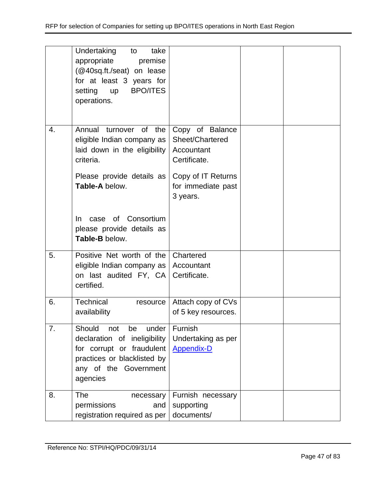|    | Undertaking<br>take<br>to<br>appropriate<br>premise<br>(@40sq.ft./seat) on lease<br>for at least 3 years for<br><b>BPO/ITES</b><br>setting<br><b>up</b><br>operations. |                                                                  |  |
|----|------------------------------------------------------------------------------------------------------------------------------------------------------------------------|------------------------------------------------------------------|--|
| 4. | Annual turnover of the<br>eligible Indian company as<br>laid down in the eligibility<br>criteria.                                                                      | Copy of Balance<br>Sheet/Chartered<br>Accountant<br>Certificate. |  |
|    | Please provide details as<br>Table-A below.                                                                                                                            | Copy of IT Returns<br>for immediate past<br>3 years.             |  |
|    | of Consortium<br>In.<br>case<br>please provide details as<br>Table-B below.                                                                                            |                                                                  |  |
| 5. | Positive Net worth of the<br>eligible Indian company as<br>on last audited FY, CA<br>certified.                                                                        | Chartered<br>Accountant<br>Certificate.                          |  |
| 6. | Technical<br>resource<br>availability                                                                                                                                  | Attach copy of CVs<br>of 5 key resources.                        |  |
| 7. | Should<br>not<br>be<br>under<br>declaration of ineligibility<br>for corrupt or fraudulent<br>practices or blacklisted by<br>any of the Government<br>agencies          | Furnish<br>Undertaking as per<br><b>Appendix-D</b>               |  |
| 8. | <b>The</b><br>necessary<br>permissions<br>and<br>registration required as per                                                                                          | Furnish necessary<br>supporting<br>documents/                    |  |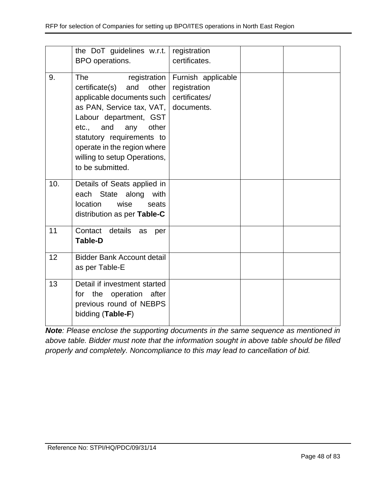|     | the DoT guidelines w.r.t.<br>BPO operations.                                                                                                                                                                                                                                           | registration<br>certificates.                                     |  |
|-----|----------------------------------------------------------------------------------------------------------------------------------------------------------------------------------------------------------------------------------------------------------------------------------------|-------------------------------------------------------------------|--|
| 9.  | The<br>registration<br>certificate(s)<br>other<br>and<br>applicable documents such<br>as PAN, Service tax, VAT,<br>Labour department, GST<br>etc., and<br>other<br>any<br>statutory requirements to<br>operate in the region where<br>willing to setup Operations,<br>to be submitted. | Furnish applicable<br>registration<br>certificates/<br>documents. |  |
| 10. | Details of Seats applied in<br>State along<br>each<br>with<br>location<br>wise<br>seats<br>distribution as per Table-C                                                                                                                                                                 |                                                                   |  |
| 11  | Contact details<br>as<br>per<br><b>Table-D</b>                                                                                                                                                                                                                                         |                                                                   |  |
| 12  | <b>Bidder Bank Account detail</b><br>as per Table-E                                                                                                                                                                                                                                    |                                                                   |  |
| 13  | Detail if investment started<br>for the operation after<br>previous round of NEBPS<br>bidding (Table-F)                                                                                                                                                                                |                                                                   |  |

*Note: Please enclose the supporting documents in the same sequence as mentioned in above table. Bidder must note that the information sought in above table should be filled properly and completely. Noncompliance to this may lead to cancellation of bid.*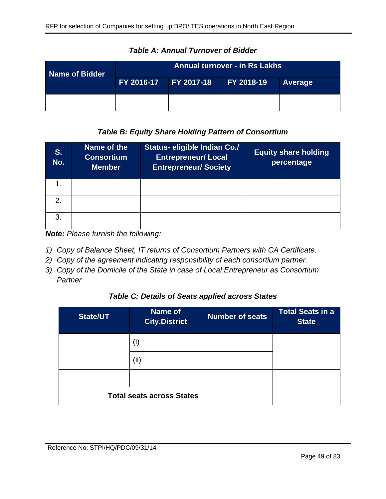| Name of Bidder | <b>Annual turnover - in Rs Lakhs</b> |  |                   |         |
|----------------|--------------------------------------|--|-------------------|---------|
|                | FY 2016-17 FY 2017-18                |  | <b>FY 2018-19</b> | Average |
|                |                                      |  |                   |         |

*Table A: Annual Turnover of Bidder*

## *Table B: Equity Share Holding Pattern of Consortium*

| S.<br>No.     | Name of the<br><b>Consortium</b><br><b>Member</b> | Status- eligible Indian Co./<br><b>Entrepreneur/ Local</b><br><b>Entrepreneur/Society</b> | <b>Equity share holding</b><br>percentage |
|---------------|---------------------------------------------------|-------------------------------------------------------------------------------------------|-------------------------------------------|
| $\mathbf 1$ . |                                                   |                                                                                           |                                           |
| $\mathcal{P}$ |                                                   |                                                                                           |                                           |
| 3.            |                                                   |                                                                                           |                                           |

*Note: Please furnish the following:*

- *1) Copy of Balance Sheet, IT returns of Consortium Partners with CA Certificate.*
- *2) Copy of the agreement indicating responsibility of each consortium partner.*
- *3) Copy of the Domicile of the State in case of Local Entrepreneur as Consortium Partner*

## *Table C: Details of Seats applied across States*

| <b>State/UT</b> | Name of<br><b>City, District</b> | <b>Number of seats</b> | <b>Total Seats in a</b><br><b>State</b> |
|-----------------|----------------------------------|------------------------|-----------------------------------------|
|                 | (i)                              |                        |                                         |
|                 | (ii)                             |                        |                                         |
|                 |                                  |                        |                                         |
|                 | <b>Total seats across States</b> |                        |                                         |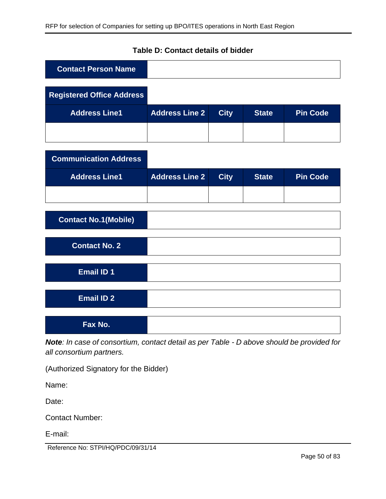## **Table D: Contact details of bidder**

| <b>Contact Person Name</b>       |                       |             |              |                 |
|----------------------------------|-----------------------|-------------|--------------|-----------------|
| <b>Registered Office Address</b> |                       |             |              |                 |
| <b>Address Line1</b>             | <b>Address Line 2</b> | <b>City</b> | <b>State</b> | <b>Pin Code</b> |
|                                  |                       |             |              |                 |
| <b>Communication Address</b>     |                       |             |              |                 |
| <b>Address Line1</b>             | <b>Address Line 2</b> | <b>City</b> | <b>State</b> | <b>Pin Code</b> |
|                                  |                       |             |              |                 |
| <b>Contact No.1(Mobile)</b>      |                       |             |              |                 |
| <b>Contact No. 2</b>             |                       |             |              |                 |
| <b>Email ID 1</b>                |                       |             |              |                 |
| <b>Email ID 2</b>                |                       |             |              |                 |
| Fax No.                          |                       |             |              |                 |

*Note: In case of consortium, contact detail as per Table - D above should be provided for all consortium partners.*

(Authorized Signatory for the Bidder)

Name:

Date:

Contact Number:

E-mail:

Reference No: STPI/HQ/PDC/09/31/14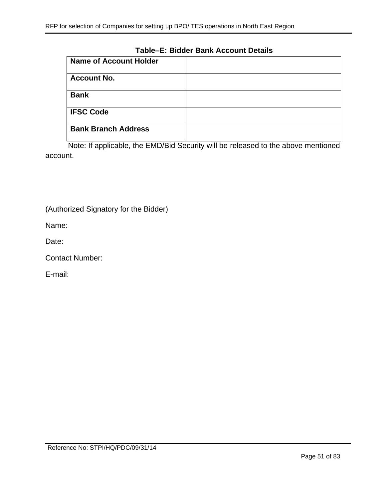#### **Table–E: Bidder Bank Account Details**

| <b>Name of Account Holder</b> |  |
|-------------------------------|--|
| <b>Account No.</b>            |  |
| <b>Bank</b>                   |  |
| <b>IFSC Code</b>              |  |
| <b>Bank Branch Address</b>    |  |

Note: If applicable, the EMD/Bid Security will be released to the above mentioned account.

(Authorized Signatory for the Bidder)

Name:

Date:

Contact Number:

E-mail: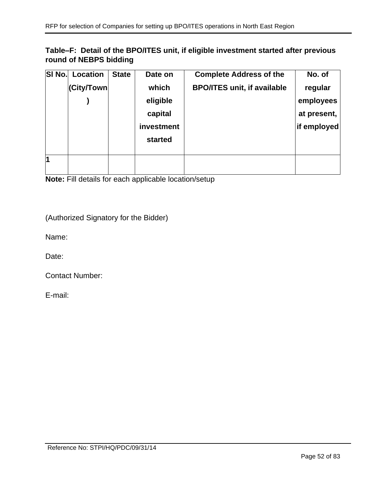# **Table–F: Detail of the BPO/ITES unit, if eligible investment started after previous round of NEBPS bidding**

| SI No. | <b>Location</b> | <b>State</b> | Date on    | <b>Complete Address of the</b>     | No. of      |
|--------|-----------------|--------------|------------|------------------------------------|-------------|
|        | (City/Town      |              | which      | <b>BPO/ITES unit, if available</b> | regular     |
|        |                 |              | eligible   |                                    | employees   |
|        |                 |              | capital    |                                    | at present, |
|        |                 |              | investment |                                    | if employed |
|        |                 |              | started    |                                    |             |
|        |                 |              |            |                                    |             |
| 1      |                 |              |            |                                    |             |
|        |                 |              |            |                                    |             |

**Note:** Fill details for each applicable location/setup

(Authorized Signatory for the Bidder)

Name:

Date:

Contact Number:

E-mail: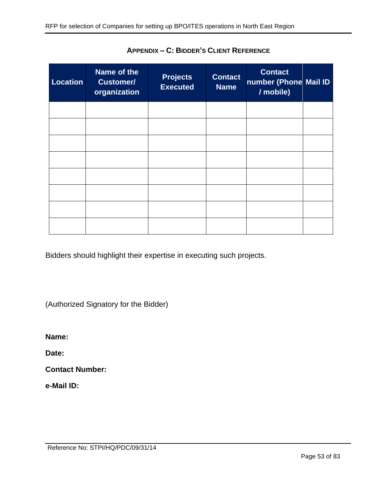| <b>Location</b> | Name of the<br><b>Customer/</b><br>organization | <b>Projects</b><br><b>Executed</b> | <b>Contact</b><br><b>Name</b> | <b>Contact</b><br>number (Phone Mail ID<br>/ mobile) |  |
|-----------------|-------------------------------------------------|------------------------------------|-------------------------------|------------------------------------------------------|--|
|                 |                                                 |                                    |                               |                                                      |  |
|                 |                                                 |                                    |                               |                                                      |  |
|                 |                                                 |                                    |                               |                                                      |  |
|                 |                                                 |                                    |                               |                                                      |  |
|                 |                                                 |                                    |                               |                                                      |  |
|                 |                                                 |                                    |                               |                                                      |  |
|                 |                                                 |                                    |                               |                                                      |  |
|                 |                                                 |                                    |                               |                                                      |  |

**APPENDIX – C: BIDDER'S CLIENT REFERENCE**

Bidders should highlight their expertise in executing such projects.

(Authorized Signatory for the Bidder)

**Name:** 

**Date:** 

**Contact Number:** 

**e-Mail ID:**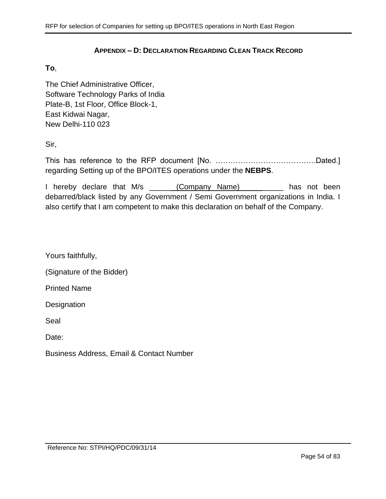#### **APPENDIX – D: DECLARATION REGARDING CLEAN TRACK RECORD**

#### <span id="page-53-0"></span>**To**,

The Chief Administrative Officer, Software Technology Parks of India Plate-B, 1st Floor, Office Block-1, East Kidwai Nagar, New Delhi-110 023

Sir,

This has reference to the RFP document [No. ………………………………….Dated.] regarding Setting up of the BPO/ITES operations under the **NEBPS**.

I hereby declare that M/s \_\_\_\_\_ (Company Name) \_\_\_\_\_\_\_\_ has not been debarred/black listed by any Government / Semi Government organizations in India. I also certify that I am competent to make this declaration on behalf of the Company.

Yours faithfully,

(Signature of the Bidder)

Printed Name

**Designation** 

Seal

Date:

Business Address, Email & Contact Number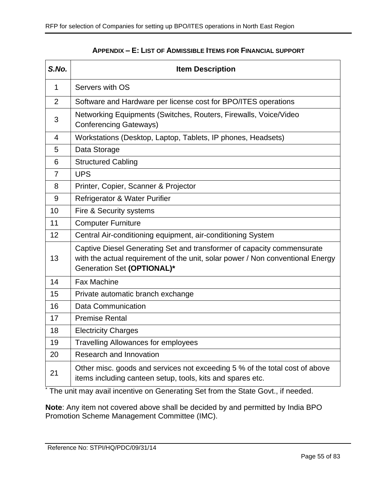<span id="page-54-0"></span>

| S.No.          | <b>Item Description</b>                                                                                                                                                                |
|----------------|----------------------------------------------------------------------------------------------------------------------------------------------------------------------------------------|
| $\mathbf{1}$   | Servers with OS                                                                                                                                                                        |
| $\overline{2}$ | Software and Hardware per license cost for BPO/ITES operations                                                                                                                         |
| 3              | Networking Equipments (Switches, Routers, Firewalls, Voice/Video<br><b>Conferencing Gateways)</b>                                                                                      |
| 4              | Workstations (Desktop, Laptop, Tablets, IP phones, Headsets)                                                                                                                           |
| 5              | Data Storage                                                                                                                                                                           |
| 6              | <b>Structured Cabling</b>                                                                                                                                                              |
| $\overline{7}$ | <b>UPS</b>                                                                                                                                                                             |
| 8              | Printer, Copier, Scanner & Projector                                                                                                                                                   |
| 9              | Refrigerator & Water Purifier                                                                                                                                                          |
| 10             | Fire & Security systems                                                                                                                                                                |
| 11             | <b>Computer Furniture</b>                                                                                                                                                              |
| 12             | Central Air-conditioning equipment, air-conditioning System                                                                                                                            |
| 13             | Captive Diesel Generating Set and transformer of capacity commensurate<br>with the actual requirement of the unit, solar power / Non conventional Energy<br>Generation Set (OPTIONAL)* |
| 14             | <b>Fax Machine</b>                                                                                                                                                                     |
| 15             | Private automatic branch exchange                                                                                                                                                      |
| 16             | <b>Data Communication</b>                                                                                                                                                              |
| 17             | <b>Premise Rental</b>                                                                                                                                                                  |
| 18             | <b>Electricity Charges</b>                                                                                                                                                             |
| 19             | <b>Travelling Allowances for employees</b>                                                                                                                                             |
| 20             | Research and Innovation                                                                                                                                                                |
| 21             | Other misc. goods and services not exceeding 5 % of the total cost of above<br>items including canteen setup, tools, kits and spares etc.                                              |

#### **APPENDIX – E: LIST OF ADMISSIBLE ITEMS FOR FINANCIAL SUPPORT**

\* The unit may avail incentive on Generating Set from the State Govt., if needed.

**Note**: Any item not covered above shall be decided by and permitted by India BPO Promotion Scheme Management Committee (IMC).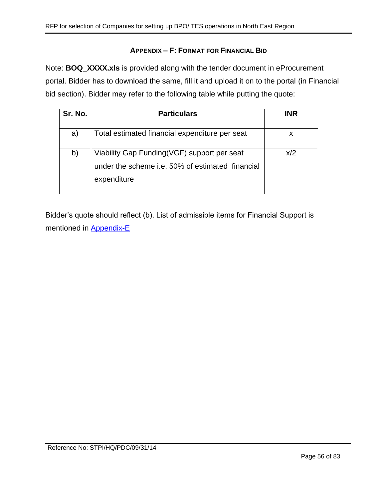## **APPENDIX – F: FORMAT FOR FINANCIAL BID**

Note: **BOQ\_XXXX.xls** is provided along with the tender document in eProcurement portal. Bidder has to download the same, fill it and upload it on to the portal (in Financial bid section). Bidder may refer to the following table while putting the quote:

| Sr. No. | <b>Particulars</b>                                                                                             | <b>INR</b> |
|---------|----------------------------------------------------------------------------------------------------------------|------------|
| a)      | Total estimated financial expenditure per seat                                                                 | X          |
| b)      | Viability Gap Funding(VGF) support per seat<br>under the scheme i.e. 50% of estimated financial<br>expenditure | x/2        |

Bidder's quote should reflect (b). List of admissible items for Financial Support is mentioned in [Appendix-E](#page-54-0)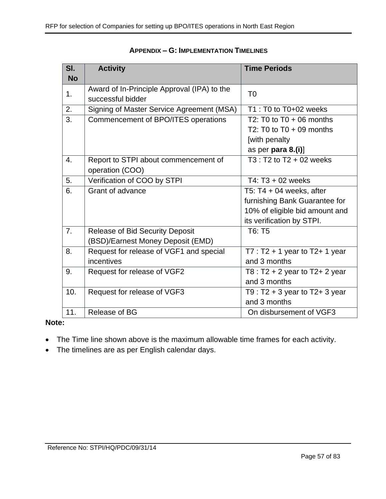| SI.       | <b>Time Periods</b><br><b>Activity</b>                           |                                     |  |
|-----------|------------------------------------------------------------------|-------------------------------------|--|
| <b>No</b> |                                                                  |                                     |  |
| 1.        | Award of In-Principle Approval (IPA) to the<br>successful bidder | T <sub>0</sub>                      |  |
| 2.        | Signing of Master Service Agreement (MSA)                        | T1 : T0 to T0+02 weeks              |  |
| 3.        | Commencement of BPO/ITES operations                              | T2: T0 to $T0 + 06$ months          |  |
|           |                                                                  | T2: T0 to $T0 + 09$ months          |  |
|           |                                                                  | [with penalty                       |  |
|           |                                                                  | as per para 8.(i)]                  |  |
| 4.        | Report to STPI about commencement of                             | $T3: T2$ to $T2 + 02$ weeks         |  |
|           | operation (COO)                                                  |                                     |  |
| 5.        | Verification of COO by STPI                                      | T4: $T3 + 02$ weeks                 |  |
| 6.        | Grant of advance                                                 | T5: $T4 + 04$ weeks, after          |  |
|           |                                                                  | furnishing Bank Guarantee for       |  |
|           |                                                                  | 10% of eligible bid amount and      |  |
|           |                                                                  | its verification by STPI.           |  |
| 7.        | <b>Release of Bid Security Deposit</b>                           | T6: T5                              |  |
|           | (BSD)/Earnest Money Deposit (EMD)                                |                                     |  |
| 8.        | Request for release of VGF1 and special                          | $T7: T2 + 1$ year to T2+ 1 year     |  |
|           | incentives                                                       | and 3 months                        |  |
| 9.        | Request for release of VGF2                                      | T8 : $T2 + 2$ year to $T2 + 2$ year |  |
|           |                                                                  | and 3 months                        |  |
| 10.       | Request for release of VGF3                                      | T9 : $T2 + 3$ year to $T2 + 3$ year |  |
|           |                                                                  | and 3 months                        |  |
| 11.       | Release of BG                                                    | On disbursement of VGF3             |  |

#### **APPENDIX – G: IMPLEMENTATION TIMELINES**

#### **Note:**

- The Time line shown above is the maximum allowable time frames for each activity.
- The timelines are as per English calendar days.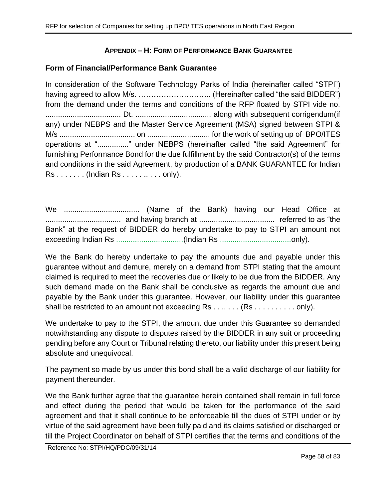## **APPENDIX – H: FORM OF PERFORMANCE BANK GUARANTEE**

### **Form of Financial/Performance Bank Guarantee**

In consideration of the Software Technology Parks of India (hereinafter called "STPI") having agreed to allow M/s. ……………………….. (Hereinafter called "the said BIDDER") from the demand under the terms and conditions of the RFP floated by STPI vide no. .................................... Dt. .................................... along with subsequent corrigendum(if any) under NEBPS and the Master Service Agreement (MSA) signed between STPI & M/s .................................... on .............................. for the work of setting up of BPO/ITES operations at "..............." under NEBPS (hereinafter called "the said Agreement" for furnishing Performance Bond for the due fulfillment by the said Contractor(s) of the terms and conditions in the said Agreement, by production of a BANK GUARANTEE for Indian Rs . . . . . . . (Indian Rs . . . . . .. . . . only).

We .................................... (Name of the Bank) having our Head Office at .................................... and having branch at .................................... referred to as "the Bank" at the request of BIDDER do hereby undertake to pay to STPI an amount not exceeding Indian Rs ................................(Indian Rs ..................................only).

We the Bank do hereby undertake to pay the amounts due and payable under this guarantee without and demure, merely on a demand from STPI stating that the amount claimed is required to meet the recoveries due or likely to be due from the BIDDER. Any such demand made on the Bank shall be conclusive as regards the amount due and payable by the Bank under this guarantee. However, our liability under this guarantee shall be restricted to an amount not exceeding Rs . . . . . . . (Rs . . . . . . . . . . only).

We undertake to pay to the STPI, the amount due under this Guarantee so demanded notwithstanding any dispute to disputes raised by the BIDDER in any suit or proceeding pending before any Court or Tribunal relating thereto, our liability under this present being absolute and unequivocal.

The payment so made by us under this bond shall be a valid discharge of our liability for payment thereunder.

We the Bank further agree that the guarantee herein contained shall remain in full force and effect during the period that would be taken for the performance of the said agreement and that it shall continue to be enforceable till the dues of STPI under or by virtue of the said agreement have been fully paid and its claims satisfied or discharged or till the Project Coordinator on behalf of STPI certifies that the terms and conditions of the

Reference No: STPI/HQ/PDC/09/31/14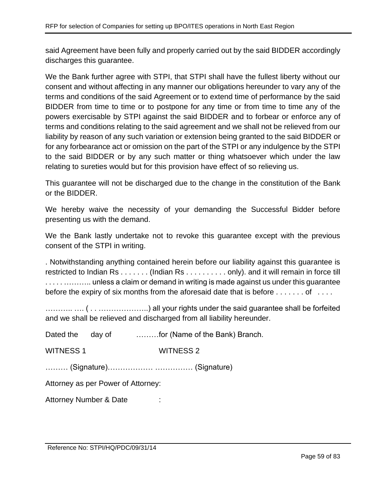said Agreement have been fully and properly carried out by the said BIDDER accordingly discharges this guarantee.

We the Bank further agree with STPI, that STPI shall have the fullest liberty without our consent and without affecting in any manner our obligations hereunder to vary any of the terms and conditions of the said Agreement or to extend time of performance by the said BIDDER from time to time or to postpone for any time or from time to time any of the powers exercisable by STPI against the said BIDDER and to forbear or enforce any of terms and conditions relating to the said agreement and we shall not be relieved from our liability by reason of any such variation or extension being granted to the said BIDDER or for any forbearance act or omission on the part of the STPI or any indulgence by the STPI to the said BIDDER or by any such matter or thing whatsoever which under the law relating to sureties would but for this provision have effect of so relieving us.

This guarantee will not be discharged due to the change in the constitution of the Bank or the BIDDER.

We hereby waive the necessity of your demanding the Successful Bidder before presenting us with the demand.

We the Bank lastly undertake not to revoke this guarantee except with the previous consent of the STPI in writing.

. Notwithstanding anything contained herein before our liability against this guarantee is restricted to Indian Rs . . . . . . . (Indian Rs . . . . . . . . . . only). and it will remain in force till . . . . . ……….. unless a claim or demand in writing is made against us under this guarantee before the expiry of six months from the aforesaid date that is before  $\dots \dots$  of  $\dots$ 

……….. …. ( . . ………………..) all your rights under the said guarantee shall be forfeited and we shall be relieved and discharged from all liability hereunder.

|                                    |  | Dated the day of for (Name of the Bank) Branch. |  |  |
|------------------------------------|--|-------------------------------------------------|--|--|
| <b>WITNESS 1</b>                   |  | <b>WITNESS 2</b>                                |  |  |
|                                    |  |                                                 |  |  |
| Attorney as per Power of Attorney: |  |                                                 |  |  |
| Attorney Number & Date             |  | $\blacksquare$                                  |  |  |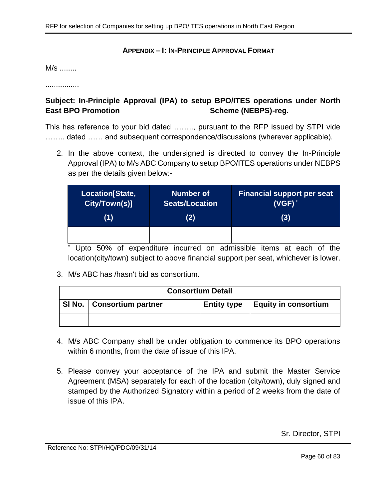#### **APPENDIX – I: IN-PRINCIPLE APPROVAL FORMAT**

M/s ........

................

# **Subject: In-Principle Approval (IPA) to setup BPO/ITES operations under North**  East BPO Promotion **Scheme** (NEBPS)-reg.

This has reference to your bid dated …….., pursuant to the RFP issued by STPI vide ........ dated ...... and subsequent correspondence/discussions (wherever applicable).

2. In the above context, the undersigned is directed to convey the In-Principle Approval (IPA) to M/s ABC Company to setup BPO/ITES operations under NEBPS as per the details given below:-

| Location[State, | <b>Number of</b> | <b>Financial support per seat</b> |
|-----------------|------------------|-----------------------------------|
| City/Town(s)]   | Seats/Location   | $(VGF)^*$                         |
| (1)             | (2)              | (3)                               |
|                 |                  |                                   |

Upto 50% of expenditure incurred on admissible items at each of the location(city/town) subject to above financial support per seat, whichever is lower.

3. M/s ABC has /hasn't bid as consortium.

| <b>Consortium Detail</b>                                                         |  |  |  |  |  |
|----------------------------------------------------------------------------------|--|--|--|--|--|
| SI No.   Consortium partner<br><b>Equity in consortium</b><br><b>Entity type</b> |  |  |  |  |  |
|                                                                                  |  |  |  |  |  |

- 4. M/s ABC Company shall be under obligation to commence its BPO operations within 6 months, from the date of issue of this IPA.
- 5. Please convey your acceptance of the IPA and submit the Master Service Agreement (MSA) separately for each of the location (city/town), duly signed and stamped by the Authorized Signatory within a period of 2 weeks from the date of issue of this IPA.

Sr. Director, STPI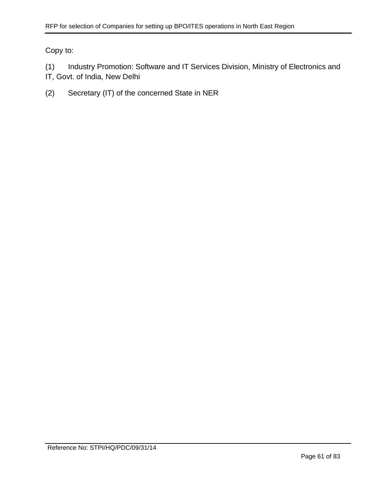Copy to:

(1) Industry Promotion: Software and IT Services Division, Ministry of Electronics and IT, Govt. of India, New Delhi

(2) Secretary (IT) of the concerned State in NER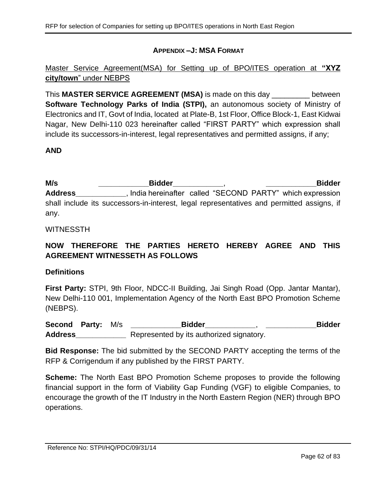### **APPENDIX –J: MSA FORMAT**

Master Service Agreement(MSA) for Setting up of BPO/ITES operation at **"XYZ city/town**" under NEBPS

This **MASTER SERVICE AGREEMENT (MSA)** is made on this day \_\_\_\_\_\_\_\_\_ between **Software Technology Parks of India (STPI),** an autonomous society of Ministry of Electronics and IT, Govt of India, located at Plate-B, 1st Floor, Office Block-1, East Kidwai Nagar, New Delhi-110 023 hereinafter called "FIRST PARTY" which expression shall include its successors-in-interest, legal representatives and permitted assigns, if any;

## **AND**

**M/s \_\_\_\_\_\_\_\_\_\_\_\_Bidder\_\_\_\_\_\_\_\_\_\_\_\_**, **\_\_\_\_\_\_\_\_\_\_\_\_Bidder Address\_\_\_\_\_\_\_\_\_\_\_\_**, India hereinafter called "SECOND PARTY" which expression shall include its successors-in-interest, legal representatives and permitted assigns, if any.

#### WITNESSTH

# **NOW THEREFORE THE PARTIES HERETO HEREBY AGREE AND THIS AGREEMENT WITNESSETH AS FOLLOWS**

#### **Definitions**

**First Party:** STPI, 9th Floor, NDCC-II Building, Jai Singh Road (Opp. Jantar Mantar), New Delhi-110 001, Implementation Agency of the North East BPO Promotion Scheme (NEBPS).

**Second Party:** M/s **\_\_\_\_\_\_\_\_\_\_\_\_Bidder\_\_\_\_\_\_\_\_\_\_\_\_**, **\_\_\_\_\_\_\_\_\_\_\_\_Bidder Address\_\_\_\_\_\_\_\_\_\_\_\_** Represented by its authorized signatory.

**Bid Response:** The bid submitted by the SECOND PARTY accepting the terms of the RFP & Corrigendum if any published by the FIRST PARTY.

**Scheme:** The North East BPO Promotion Scheme proposes to provide the following financial support in the form of Viability Gap Funding (VGF) to eligible Companies, to encourage the growth of the IT Industry in the North Eastern Region (NER) through BPO operations.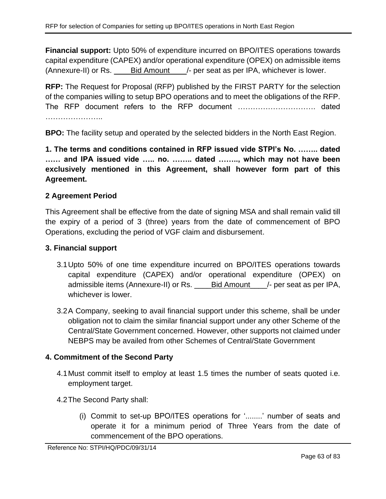**Financial support:** Upto 50% of expenditure incurred on BPO/ITES operations towards capital expenditure (CAPEX) and/or operational expenditure (OPEX) on admissible items (Annexure-II) or Rs. \_\_\_\_Bid Amount\_\_\_\_/- per seat as per IPA, whichever is lower.

**RFP:** The Request for Proposal (RFP) published by the FIRST PARTY for the selection of the companies willing to setup BPO operations and to meet the obligations of the RFP. The RFP document refers to the RFP document …………………………. dated ……………………

**BPO:** The facility setup and operated by the selected bidders in the North East Region.

**1. The terms and conditions contained in RFP issued vide STPI's No. …….. dated …… and IPA issued vide ….. no. …….. dated …….., which may not have been exclusively mentioned in this Agreement, shall however form part of this Agreement.**

## **2 Agreement Period**

This Agreement shall be effective from the date of signing MSA and shall remain valid till the expiry of a period of 3 (three) years from the date of commencement of BPO Operations, excluding the period of VGF claim and disbursement.

#### **3. Financial support**

- 3.1Upto 50% of one time expenditure incurred on BPO/ITES operations towards capital expenditure (CAPEX) and/or operational expenditure (OPEX) on admissible items (Annexure-II) or Rs. Bid Amount /- per seat as per IPA, whichever is lower.
- 3.2A Company, seeking to avail financial support under this scheme, shall be under obligation not to claim the similar financial support under any other Scheme of the Central/State Government concerned. However, other supports not claimed under NEBPS may be availed from other Schemes of Central/State Government

## **4. Commitment of the Second Party**

- 4.1Must commit itself to employ at least 1.5 times the number of seats quoted i.e. employment target.
- 4.2The Second Party shall:
	- (i) Commit to set-up BPO/ITES operations for '........' number of seats and operate it for a minimum period of Three Years from the date of commencement of the BPO operations.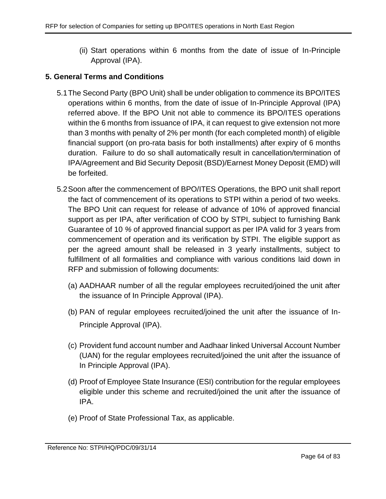(ii) Start operations within 6 months from the date of issue of In-Principle Approval (IPA).

## **5. General Terms and Conditions**

- 5.1The Second Party (BPO Unit) shall be under obligation to commence its BPO/ITES operations within 6 months, from the date of issue of In-Principle Approval (IPA) referred above. If the BPO Unit not able to commence its BPO/ITES operations within the 6 months from issuance of IPA, it can request to give extension not more than 3 months with penalty of 2% per month (for each completed month) of eligible financial support (on pro-rata basis for both installments) after expiry of 6 months duration. Failure to do so shall automatically result in cancellation/termination of IPA/Agreement and Bid Security Deposit (BSD)/Earnest Money Deposit (EMD) will be forfeited.
- <span id="page-63-0"></span>5.2Soon after the commencement of BPO/ITES Operations, the BPO unit shall report the fact of commencement of its operations to STPI within a period of two weeks. The BPO Unit can request for release of advance of 10% of approved financial support as per IPA, after verification of COO by STPI, subject to furnishing Bank Guarantee of 10 *%* of approved financial support as per IPA valid for 3 years from commencement of operation and its verification by STPI. The eligible support as per the agreed amount shall be released in 3 yearly installments, subject to fulfillment of all formalities and compliance with various conditions laid down in RFP and submission of following documents:
	- (a) AADHAAR number of all the regular employees recruited/joined the unit after the issuance of In Principle Approval (IPA).
	- (b) PAN of regular employees recruited/joined the unit after the issuance of In-Principle Approval (IPA).
	- (c) Provident fund account number and Aadhaar linked Universal Account Number (UAN) for the regular employees recruited/joined the unit after the issuance of In Principle Approval (IPA).
	- (d) Proof of Employee State Insurance (ESI) contribution for the regular employees eligible under this scheme and recruited/joined the unit after the issuance of IPA.
	- (e) Proof of State Professional Tax, as applicable.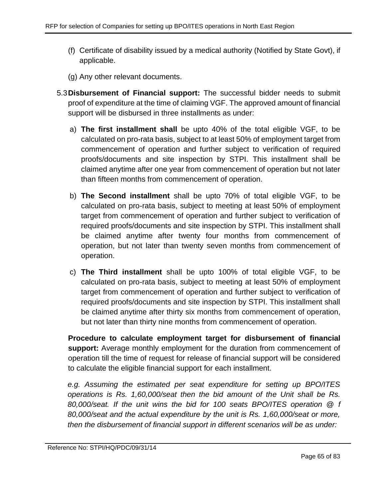- (f) Certificate of disability issued by a medical authority (Notified by State Govt), if applicable.
- (g) Any other relevant documents.
- 5.3**Disbursement of Financial support:** The successful bidder needs to submit proof of expenditure at the time of claiming VGF. The approved amount of financial support will be disbursed in three installments as under:
	- a) **The first installment shall** be upto 40% of the total eligible VGF, to be calculated on pro-rata basis, subject to at least 50% of employment target from commencement of operation and further subject to verification of required proofs/documents and site inspection by STPI. This installment shall be claimed anytime after one year from commencement of operation but not later than fifteen months from commencement of operation.
	- b) **The Second installment** shall be upto 70% of total eligible VGF, to be calculated on pro-rata basis, subject to meeting at least 50% of employment target from commencement of operation and further subject to verification of required proofs/documents and site inspection by STPI. This installment shall be claimed anytime after twenty four months from commencement of operation, but not later than twenty seven months from commencement of operation.
	- c) **The Third installment** shall be upto 100% of total eligible VGF, to be calculated on pro-rata basis, subject to meeting at least 50% of employment target from commencement of operation and further subject to verification of required proofs/documents and site inspection by STPI. This installment shall be claimed anytime after thirty six months from commencement of operation, but not later than thirty nine months from commencement of operation.

**Procedure to calculate employment target for disbursement of financial support:** Average monthly employment for the duration from commencement of operation till the time of request for release of financial support will be considered to calculate the eligible financial support for each installment.

*e.g. Assuming the estimated per seat expenditure for setting up BPO/ITES operations is Rs. 1,60,000/seat then the bid amount of the Unit shall be Rs. 80,000/seat. If the unit wins the bid for 100 seats BPO/ITES operation @ f 80,000/seat and the actual expenditure by the unit is Rs. 1,60,000/seat or more, then the disbursement of financial support in different scenarios will be as under:*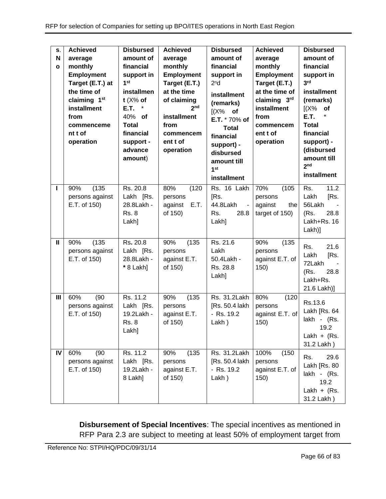| S.<br>N<br>$\mathbf{o}$ | <b>Achieved</b><br>average<br>monthly<br><b>Employment</b><br>Target (E.T.) at<br>the time of<br>claiming 1st<br>installment<br>from<br>commenceme<br>nt t of<br>operation | <b>Disbursed</b><br>amount of<br>financial<br>support in<br>1 <sup>st</sup><br>installmen<br>$t$ ( $X\%$ of<br>$^\star$<br>E.T.<br>40% of<br><b>Total</b><br>financial<br>support -<br>advance<br>amount) | <b>Achieved</b><br>average<br>monthly<br><b>Employment</b><br>Target (E.T.)<br>at the time<br>of claiming<br>2 <sub>nd</sub><br>installment<br>from<br>commencem<br>ent t of<br>operation | <b>Disbursed</b><br>amount of<br>financial<br>support in<br>2 <sup>n</sup> d<br>installment<br>(remarks)<br>$[(X\%$ of<br>E.T. * 70% of<br><b>Total</b><br>financial<br>support) -<br>disbursed<br>amount till<br>1 <sub>st</sub><br>installment | <b>Achieved</b><br>average<br>monthly<br><b>Employment</b><br>Target (E.T.)<br>at the time of<br>claiming 3rd<br>installment<br>from<br>commencem<br>ent t of<br>operation | <b>Disbursed</b><br>amount of<br>financial<br>support in<br>3 <sup>rd</sup><br>installment<br>(remarks)<br>(X%<br>of<br>E.T.<br><b>Total</b><br>financial<br>support) -<br>(disbursed<br>amount till<br>2 <sub>nd</sub><br>installment |
|-------------------------|----------------------------------------------------------------------------------------------------------------------------------------------------------------------------|-----------------------------------------------------------------------------------------------------------------------------------------------------------------------------------------------------------|-------------------------------------------------------------------------------------------------------------------------------------------------------------------------------------------|--------------------------------------------------------------------------------------------------------------------------------------------------------------------------------------------------------------------------------------------------|----------------------------------------------------------------------------------------------------------------------------------------------------------------------------|----------------------------------------------------------------------------------------------------------------------------------------------------------------------------------------------------------------------------------------|
| ı                       | (135)<br>90%<br>persons against<br>E.T. of 150)                                                                                                                            | Rs. 20.8<br>Lakh [Rs.<br>28.8Lakh -<br><b>Rs. 8</b><br>Lakh]                                                                                                                                              | 80%<br>(120)<br>persons<br>E.T.<br>against<br>of 150)                                                                                                                                     | Rs. 16 Lakh<br>[Rs.<br>44.8Lakh<br>$\blacksquare$<br>Rs.<br>28.8<br>Lakh]                                                                                                                                                                        | 70%<br>(105)<br>persons<br>against<br>the<br>target of 150)                                                                                                                | 11.2<br>Rs.<br>Lakh<br>[Rs.<br>56Lakh<br>28.8<br>(Rs.<br>Lakh+Rs. 16<br>Lakh)]                                                                                                                                                         |
| $\mathbf{II}$           | (135)<br>90%<br>persons against<br>E.T. of 150)                                                                                                                            | Rs. 20.8<br>Lakh [Rs.<br>28.8Lakh -<br>* 8 Lakh]                                                                                                                                                          | (135)<br>90%<br>persons<br>against E.T.<br>of 150)                                                                                                                                        | Rs. 21.6<br>Lakh<br>50.4Lakh -<br>Rs. 28.8<br>Lakh]                                                                                                                                                                                              | 90%<br>(135)<br>persons<br>against E.T. of<br>150)                                                                                                                         | Rs.<br>21.6<br>[Rs.<br>Lakh<br>72Lakh<br>(Rs.<br>28.8<br>Lakh+Rs.<br>21.6 Lakh)]                                                                                                                                                       |
| III                     | 60%<br>(90)<br>persons against<br>E.T. of 150)                                                                                                                             | Rs. 11.2<br>Lakh [Rs.<br>19.2Lakh -<br><b>Rs. 8</b><br>Lakh]                                                                                                                                              | (135)<br>90%<br>persons<br>against E.T.<br>of 150)                                                                                                                                        | Rs. 31.2Lakh<br>[Rs. 50.4 lakh<br>- Rs. 19.2<br>Lakh)                                                                                                                                                                                            | 80%<br>(120)<br>persons<br>against E.T. of<br>150)                                                                                                                         | Rs.13.6<br>Lakh [Rs. 64<br>lakh - (Rs.<br>19.2<br>Lakh + $(Rs.$<br>31.2 Lakh)                                                                                                                                                          |
| IV                      | 60%<br>(90)<br>persons against<br>E.T. of 150)                                                                                                                             | Rs. 11.2<br>Lakh [Rs.<br>19.2Lakh -<br>8 Lakh]                                                                                                                                                            | (135)<br>90%<br>persons<br>against E.T.<br>of 150)                                                                                                                                        | Rs. 31.2Lakh<br>[Rs. 50.4 lakh<br>- Rs. 19.2<br>Lakh)                                                                                                                                                                                            | 100%<br>(150)<br>persons<br>against E.T. of<br>150)                                                                                                                        | 29.6<br>Rs.<br>Lakh [Rs. 80<br>lakh - (Rs.<br>19.2<br>Lakh + $(Rs.$<br>31.2 Lakh)                                                                                                                                                      |

**Disbursement of Special Incentives**: The special incentives as mentioned in RFP Para [2.3](#page-6-0) are subject to meeting at least 50% of employment target from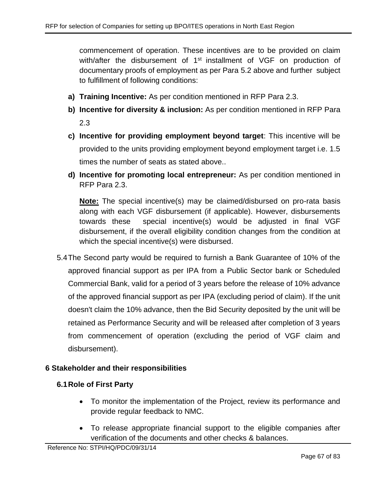commencement of operation. These incentives are to be provided on claim with/after the disbursement of 1<sup>st</sup> installment of VGF on production of documentary proofs of employment as per Para [5.2](#page-63-0) above and further subject to fulfillment of following conditions:

- **a) Training Incentive:** As per condition mentioned in RFP Para [2.3.](#page-6-0)
- **b) Incentive for diversity & inclusion:** As per condition mentioned in RFP Para [2.3](#page-6-0)
- **c) Incentive for providing employment beyond target**: This incentive will be provided to the units providing employment beyond employment target i.e. 1.5 times the number of seats as stated above..
- **d) Incentive for promoting local entrepreneur:** As per condition mentioned in RFP Para [2.3.](#page-6-0)

**Note:** The special incentive(s) may be claimed/disbursed on pro-rata basis along with each VGF disbursement (if applicable). However, disbursements towards these special incentive(s) would be adjusted in final VGF disbursement, if the overall eligibility condition changes from the condition at which the special incentive(s) were disbursed.

5.4The Second party would be required to furnish a Bank Guarantee of 10% of the approved financial support as per IPA from a Public Sector bank or Scheduled Commercial Bank, valid for a period of 3 years before the release of 10% advance of the approved financial support as per IPA (excluding period of claim). If the unit doesn't claim the 10% advance, then the Bid Security deposited by the unit will be retained as Performance Security and will be released after completion of 3 years from commencement of operation (excluding the period of VGF claim and disbursement).

## **6 Stakeholder and their responsibilities**

#### **6.1Role of First Party**

- To monitor the implementation of the Project, review its performance and provide regular feedback to NMC.
- To release appropriate financial support to the eligible companies after verification of the documents and other checks & balances.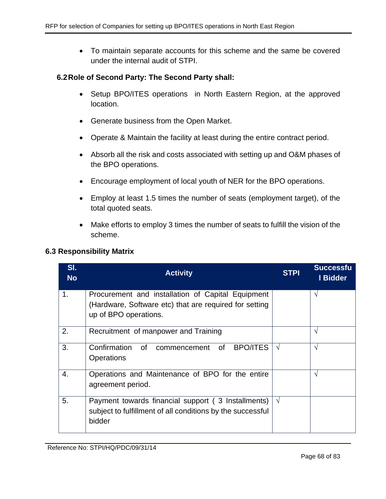• To maintain separate accounts for this scheme and the same be covered under the internal audit of STPI.

#### **6.2Role of Second Party: The Second Party shall:**

- Setup BPO/ITES operations in North Eastern Region, at the approved location.
- Generate business from the Open Market.
- Operate & Maintain the facility at least during the entire contract period.
- Absorb all the risk and costs associated with setting up and O&M phases of the BPO operations.
- Encourage employment of local youth of NER for the BPO operations.
- Employ at least 1.5 times the number of seats (employment target), of the total quoted seats.
- Make efforts to employ 3 times the number of seats to fulfill the vision of the scheme.

#### **6.3 Responsibility Matrix**

| SI.<br><b>No</b> | <b>Activity</b>                                                                                                                      | <b>STPI</b> | <b>Successfu</b><br>I Bidder |
|------------------|--------------------------------------------------------------------------------------------------------------------------------------|-------------|------------------------------|
| 1.               | Procurement and installation of Capital Equipment<br>(Hardware, Software etc) that are required for setting<br>up of BPO operations. |             | V                            |
| 2.               | Recruitment of manpower and Training                                                                                                 |             | V                            |
| 3.               | Confirmation<br><b>BPO/ITES</b><br>of<br>0f<br>commencement<br><b>Operations</b>                                                     | $\sqrt{ }$  | $\mathcal{N}$                |
| 4.               | Operations and Maintenance of BPO for the entire<br>agreement period.                                                                |             | $\mathcal{N}$                |
| 5.               | Payment towards financial support (3 Installments)<br>subject to fulfillment of all conditions by the successful<br>bidder           | $\sqrt{ }$  |                              |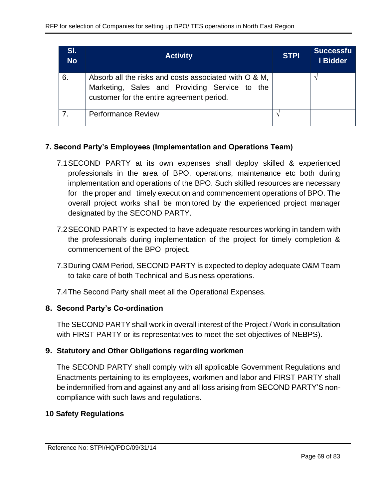| SI.<br><b>No</b> | <b>Activity</b>                                                                                                                                     | <b>STPI</b> | <b>Successfu</b><br>I Bidder |
|------------------|-----------------------------------------------------------------------------------------------------------------------------------------------------|-------------|------------------------------|
| 6.               | Absorb all the risks and costs associated with O & M,<br>Marketing, Sales and Providing Service to the<br>customer for the entire agreement period. |             |                              |
|                  | <b>Performance Review</b>                                                                                                                           |             |                              |

# **7. Second Party's Employees (Implementation and Operations Team)**

- 7.1SECOND PARTY at its own expenses shall deploy skilled & experienced professionals in the area of BPO, operations, maintenance etc both during implementation and operations of the BPO. Such skilled resources are necessary for the proper and timely execution and commencement operations of BPO. The overall project works shall be monitored by the experienced project manager designated by the SECOND PARTY.
- 7.2SECOND PARTY is expected to have adequate resources working in tandem with the professionals during implementation of the project for timely completion & commencement of the BPO project.
- 7.3During O&M Period, SECOND PARTY is expected to deploy adequate O&M Team to take care of both Technical and Business operations.
- 7.4The Second Party shall meet all the Operational Expenses.

## **8. Second Party's Co-ordination**

The SECOND PARTY shall work in overall interest of the Project / Work in consultation with FIRST PARTY or its representatives to meet the set objectives of NEBPS).

# **9. Statutory and Other Obligations regarding workmen**

The SECOND PARTY shall comply with all applicable Government Regulations and Enactments pertaining to its employees, workmen and labor and FIRST PARTY shall be indemnified from and against any and all loss arising from SECOND PARTY'S noncompliance with such laws and regulations.

## **10 Safety Regulations**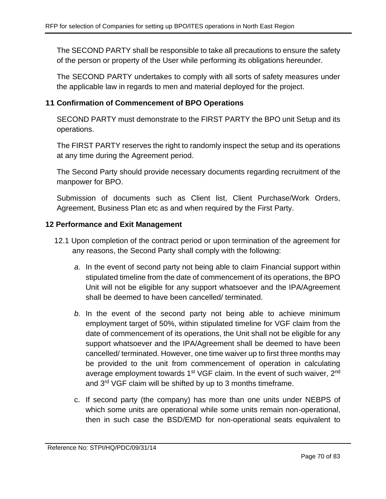The SECOND PARTY shall be responsible to take all precautions to ensure the safety of the person or property of the User while performing its obligations hereunder.

The SECOND PARTY undertakes to comply with all sorts of safety measures under the applicable law in regards to men and material deployed for the project.

# **11 Confirmation of Commencement of BPO Operations**

SECOND PARTY must demonstrate to the FIRST PARTY the BPO unit Setup and its operations.

The FIRST PARTY reserves the right to randomly inspect the setup and its operations at any time during the Agreement period.

The Second Party should provide necessary documents regarding recruitment of the manpower for BPO.

Submission of documents such as Client list, Client Purchase/Work Orders, Agreement, Business Plan etc as and when required by the First Party.

## **12 Performance and Exit Management**

- 12.1 Upon completion of the contract period or upon termination of the agreement for any reasons, the Second Party shall comply with the following:
	- *a.* In the event of second party not being able to claim Financial support within stipulated timeline from the date of commencement of its operations, the BPO Unit will not be eligible for any support whatsoever and the IPA/Agreement shall be deemed to have been cancelled/ terminated.
	- *b.* In the event of the second party not being able to achieve minimum employment target of 50%, within stipulated timeline for VGF claim from the date of commencement of its operations, the Unit shall not be eligible for any support whatsoever and the IPA/Agreement shall be deemed to have been cancelled/ terminated. However, one time waiver up to first three months may be provided to the unit from commencement of operation in calculating average employment towards 1<sup>st</sup> VGF claim. In the event of such waiver, 2<sup>nd</sup> and 3rd VGF claim will be shifted by up to 3 months timeframe.
	- c. If second party (the company) has more than one units under NEBPS of which some units are operational while some units remain non-operational, then in such case the BSD/EMD for non-operational seats equivalent to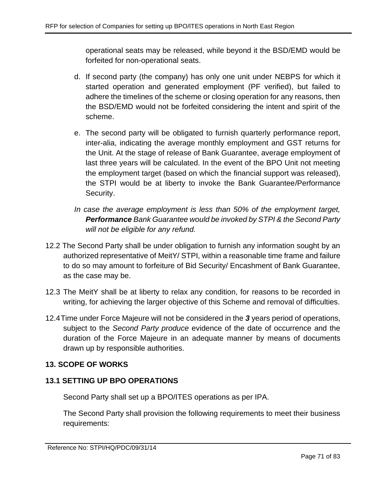operational seats may be released, while beyond it the BSD/EMD would be forfeited for non-operational seats.

- d. If second party (the company) has only one unit under NEBPS for which it started operation and generated employment (PF verified), but failed to adhere the timelines of the scheme or closing operation for any reasons, then the BSD/EMD would not be forfeited considering the intent and spirit of the scheme.
- e. The second party will be obligated to furnish quarterly performance report, inter-alia, indicating the average monthly employment and GST returns for the Unit. At the stage of release of Bank Guarantee, average employment of last three years will be calculated. In the event of the BPO Unit not meeting the employment target (based on which the financial support was released), the STPI would be at liberty to invoke the Bank Guarantee/Performance Security.
- *In case the average employment is less than 50% of the employment target, Performance Bank Guarantee would be invoked by STPI & the Second Party will not be eligible for any refund.*
- 12.2 The Second Party shall be under obligation to furnish any information sought by an authorized representative of MeitY/ STPI, within a reasonable time frame and failure to do so may amount to forfeiture of Bid Security/ Encashment of Bank Guarantee, as the case may be.
- 12.3 The MeitY shall be at liberty to relax any condition, for reasons to be recorded in writing, for achieving the larger objective of this Scheme and removal of difficulties.
- 12.4Time under Force Majeure will not be considered in the *3* years period of operations, subject to the *Second Party produce* evidence of the date of occurrence and the duration of the Force Majeure in an adequate manner by means of documents drawn up by responsible authorities.

# **13. SCOPE OF WORKS**

# **13.1 SETTING UP BPO OPERATIONS**

Second Party shall set up a BPO/ITES operations as per IPA.

The Second Party shall provision the following requirements to meet their business requirements: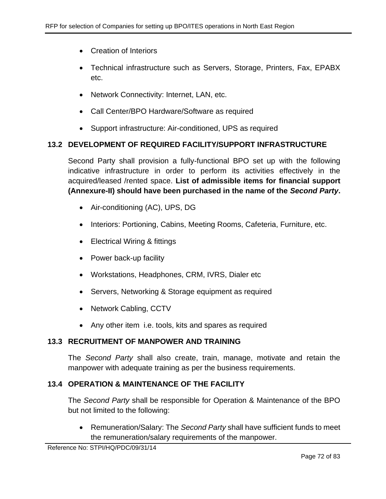- Creation of Interiors
- Technical infrastructure such as Servers, Storage, Printers, Fax, EPABX etc.
- Network Connectivity: Internet, LAN, etc.
- Call Center/BPO Hardware/Software as required
- Support infrastructure: Air-conditioned, UPS as required

## **13.2 DEVELOPMENT OF REQUIRED FACILITY/SUPPORT INFRASTRUCTURE**

Second Party shall provision a fully-functional BPO set up with the following indicative infrastructure in order to perform its activities effectively in the acquired/leased /rented space. **List of admissible items for financial support (Annexure-II) should have been purchased in the name of the** *Second Party***.**

- Air-conditioning (AC), UPS, DG
- Interiors: Portioning, Cabins, Meeting Rooms, Cafeteria, Furniture, etc.
- Electrical Wiring & fittings
- Power back-up facility
- Workstations, Headphones, CRM, IVRS, Dialer etc
- Servers, Networking & Storage equipment as required
- Network Cabling, CCTV
- Any other item i.e. tools, kits and spares as required

## **13.3 RECRUITMENT OF MANPOWER AND TRAINING**

The *Second Party* shall also create, train, manage, motivate and retain the manpower with adequate training as per the business requirements.

## **13.4 OPERATION & MAINTENANCE OF THE FACILITY**

The *Second Party* shall be responsible for Operation & Maintenance of the BPO but not limited to the following:

• Remuneration/Salary: The *Second Party* shall have sufficient funds to meet the remuneration/salary requirements of the manpower.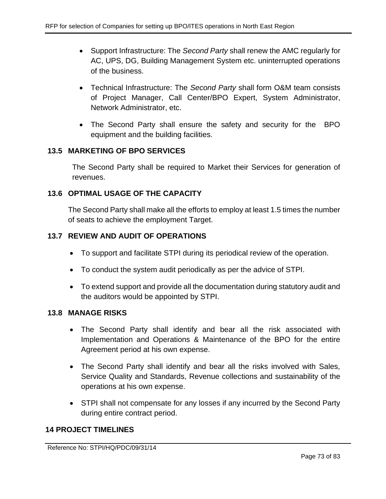- Support Infrastructure: The *Second Party* shall renew the AMC regularly for AC, UPS, DG, Building Management System etc. uninterrupted operations of the business.
- Technical Infrastructure: The *Second Party* shall form O&M team consists of Project Manager, Call Center/BPO Expert, System Administrator, Network Administrator, etc.
- The Second Party shall ensure the safety and security for the BPO equipment and the building facilities.

## **13.5 MARKETING OF BPO SERVICES**

The Second Party shall be required to Market their Services for generation of revenues.

## **13.6 OPTIMAL USAGE OF THE CAPACITY**

The Second Party shall make all the efforts to employ at least 1.5 times the number of seats to achieve the employment Target.

## **13.7 REVIEW AND AUDIT OF OPERATIONS**

- To support and facilitate STPI during its periodical review of the operation.
- To conduct the system audit periodically as per the advice of STPI.
- To extend support and provide all the documentation during statutory audit and the auditors would be appointed by STPI.

### **13.8 MANAGE RISKS**

- The Second Party shall identify and bear all the risk associated with Implementation and Operations & Maintenance of the BPO for the entire Agreement period at his own expense.
- The Second Party shall identify and bear all the risks involved with Sales, Service Quality and Standards, Revenue collections and sustainability of the operations at his own expense.
- STPI shall not compensate for any losses if any incurred by the Second Party during entire contract period.

### **14 PROJECT TIMELINES**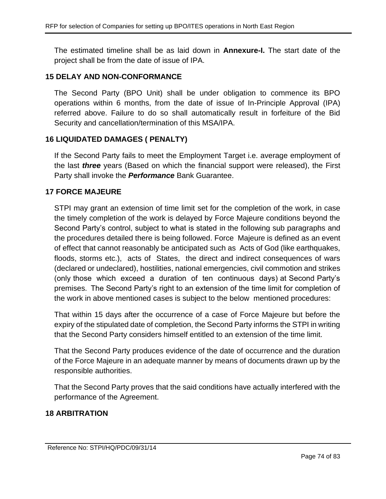The estimated timeline shall be as laid down in **Annexure-I.** The start date of the project shall be from the date of issue of IPA.

#### **15 DELAY AND NON-CONFORMANCE**

The Second Party (BPO Unit) shall be under obligation to commence its BPO operations within 6 months, from the date of issue of In-Principle Approval (IPA) referred above. Failure to do so shall automatically result in forfeiture of the Bid Security and cancellation/termination of this MSA/IPA.

#### **16 LIQUIDATED DAMAGES ( PENALTY)**

If the Second Party fails to meet the Employment Target i.e. average employment of the last *three* years (Based on which the financial support were released), the First Party shall invoke the *Performance* Bank Guarantee.

#### **17 FORCE MAJEURE**

STPI may grant an extension of time limit set for the completion of the work, in case the timely completion of the work is delayed by Force Majeure conditions beyond the Second Party's control, subject to what is stated in the following sub paragraphs and the procedures detailed there is being followed. Force Majeure is defined as an event of effect that cannot reasonably be anticipated such as Acts of God (like earthquakes, floods, storms etc.), acts of States, the direct and indirect consequences of wars (declared or undeclared), hostilities, national emergencies, civil commotion and strikes (only those which exceed a duration of ten continuous days) at Second Party's premises. The Second Party's right to an extension of the time limit for completion of the work in above mentioned cases is subject to the below mentioned procedures:

That within 15 days after the occurrence of a case of Force Majeure but before the expiry of the stipulated date of completion, the Second Party informs the STPI in writing that the Second Party considers himself entitled to an extension of the time limit.

That the Second Party produces evidence of the date of occurrence and the duration of the Force Majeure in an adequate manner by means of documents drawn up by the responsible authorities.

That the Second Party proves that the said conditions have actually interfered with the performance of the Agreement.

### **18 ARBITRATION**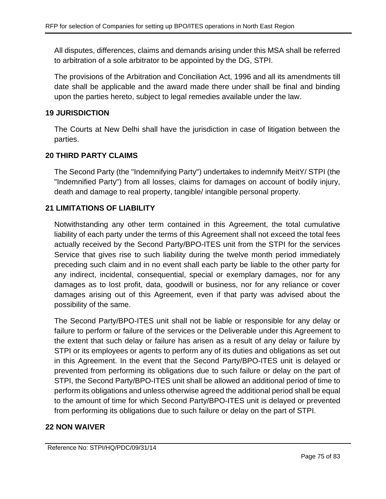All disputes, differences, claims and demands arising under this MSA shall be referred to arbitration of a sole arbitrator to be appointed by the DG, STPI.

The provisions of the Arbitration and Conciliation Act, 1996 and all its amendments till date shall be applicable and the award made there under shall be final and binding upon the parties hereto, subject to legal remedies available under the law.

### **19 JURISDICTION**

The Courts at New Delhi shall have the jurisdiction in case of litigation between the parties.

## **20 THIRD PARTY CLAIMS**

The Second Party (the "Indemnifying Party") undertakes to indemnify MeitY/ STPI (the "Indemnified Party") from all losses, claims for damages on account of bodily injury, death and damage to real property, tangible/ intangible personal property.

## **21 LIMITATIONS OF LIABILITY**

Notwithstanding any other term contained in this Agreement, the total cumulative liability of each party under the terms of this Agreement shall not exceed the total fees actually received by the Second Party/BPO-ITES unit from the STPI for the services Service that gives rise to such liability during the twelve month period immediately preceding such claim and in no event shall each party be liable to the other party for any indirect, incidental, consequential, special or exemplary damages, nor for any damages as to lost profit, data, goodwill or business, nor for any reliance or cover damages arising out of this Agreement, even if that party was advised about the possibility of the same.

The Second Party/BPO-ITES unit shall not be liable or responsible for any delay or failure to perform or failure of the services or the Deliverable under this Agreement to the extent that such delay or failure has arisen as a result of any delay or failure by STPI or its employees or agents to perform any of its duties and obligations as set out in this Agreement. In the event that the Second Party/BPO-ITES unit is delayed or prevented from performing its obligations due to such failure or delay on the part of STPI, the Second Party/BPO-ITES unit shall be allowed an additional period of time to perform its obligations and unless otherwise agreed the additional period shall be equal to the amount of time for which Second Party/BPO-ITES unit is delayed or prevented from performing its obligations due to such failure or delay on the part of STPI.

### **22 NON WAIVER**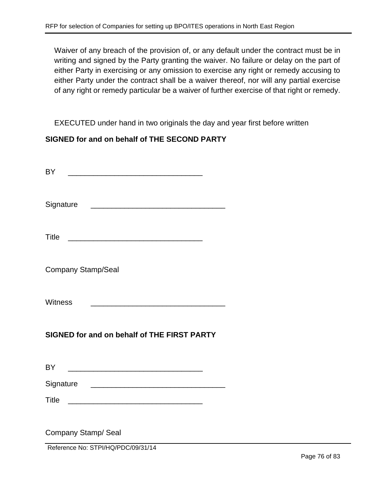Waiver of any breach of the provision of, or any default under the contract must be in writing and signed by the Party granting the waiver. No failure or delay on the part of either Party in exercising or any omission to exercise any right or remedy accusing to either Party under the contract shall be a waiver thereof, nor will any partial exercise of any right or remedy particular be a waiver of further exercise of that right or remedy.

EXECUTED under hand in two originals the day and year first before written

### **SIGNED for and on behalf of THE SECOND PARTY**

| <b>BY</b>                                                                                                                               |  |  |  |
|-----------------------------------------------------------------------------------------------------------------------------------------|--|--|--|
| Signature<br><u> 1990 - Johann Barbara, martin amerikan basal da</u>                                                                    |  |  |  |
| <b>Title</b>                                                                                                                            |  |  |  |
| <b>Company Stamp/Seal</b>                                                                                                               |  |  |  |
| <b>Witness</b><br><u> 1989 - Johann Harry Harry Harry Harry Harry Harry Harry Harry Harry Harry Harry Harry Harry Harry Harry Harry</u> |  |  |  |
| SIGNED for and on behalf of THE FIRST PARTY                                                                                             |  |  |  |
| <b>BY</b>                                                                                                                               |  |  |  |
| Signature                                                                                                                               |  |  |  |
| <b>Title</b><br><u> Alexandro de la contrada de la contrada de la contrada de la contrada de la contrada de la contrada de la co</u>    |  |  |  |
| Company Stamp/ Seal<br>Reference No: STPI/HQ/PDC/09/31/14                                                                               |  |  |  |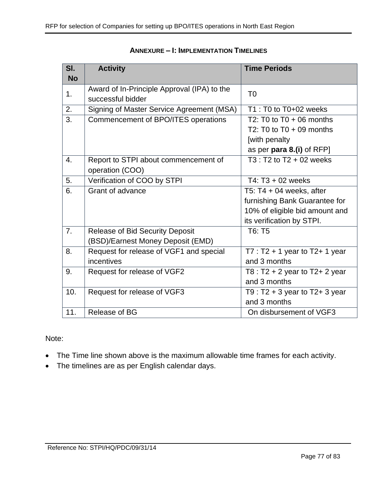| SI.       | <b>Activity</b>                             | <b>Time Periods</b>                 |
|-----------|---------------------------------------------|-------------------------------------|
| <b>No</b> |                                             |                                     |
| 1.        | Award of In-Principle Approval (IPA) to the | T <sub>0</sub>                      |
|           | successful bidder                           |                                     |
| 2.        | Signing of Master Service Agreement (MSA)   | T1 : T0 to T0+02 weeks              |
| 3.        | Commencement of BPO/ITES operations         | T2: T0 to $T0 + 06$ months          |
|           |                                             | T2: T0 to $T0 + 09$ months          |
|           |                                             | [with penalty                       |
|           |                                             | as per para 8.(i) of RFP]           |
| 4.        | Report to STPI about commencement of        | $T3: T2$ to $T2 + 02$ weeks         |
|           | operation (COO)                             |                                     |
| 5.        | Verification of COO by STPI                 | T4: T3 + 02 weeks                   |
| 6.        | Grant of advance                            | T5: $T4 + 04$ weeks, after          |
|           |                                             | furnishing Bank Guarantee for       |
|           |                                             | 10% of eligible bid amount and      |
|           |                                             | its verification by STPI.           |
| 7.        | <b>Release of Bid Security Deposit</b>      | T6: T5                              |
|           | (BSD)/Earnest Money Deposit (EMD)           |                                     |
| 8.        | Request for release of VGF1 and special     | $T7: T2 + 1$ year to T2+ 1 year     |
|           | incentives                                  | and 3 months                        |
| 9.        | Request for release of VGF2                 | T8 : T2 + 2 year to T2+ 2 year      |
|           |                                             | and 3 months                        |
| 10.       | Request for release of VGF3                 | T9 : $T2 + 3$ year to $T2 + 3$ year |
|           |                                             | and 3 months                        |
| 11.       | Release of BG                               | On disbursement of VGF3             |

### **ANNEXURE – I: IMPLEMENTATION TIMELINES**

#### Note:

- The Time line shown above is the maximum allowable time frames for each activity.
- The timelines are as per English calendar days.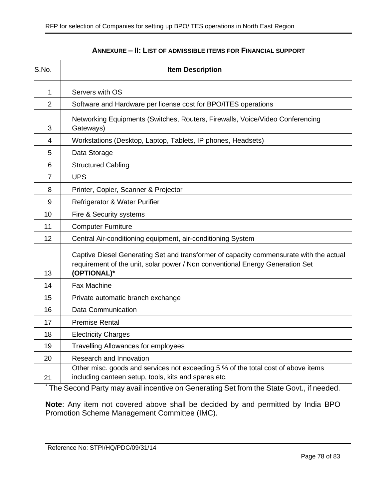| S.No.          | <b>Item Description</b>                                                                                                                                                                |  |
|----------------|----------------------------------------------------------------------------------------------------------------------------------------------------------------------------------------|--|
| $\mathbf{1}$   | Servers with OS                                                                                                                                                                        |  |
| $\overline{2}$ | Software and Hardware per license cost for BPO/ITES operations                                                                                                                         |  |
| 3              | Networking Equipments (Switches, Routers, Firewalls, Voice/Video Conferencing<br>Gateways)                                                                                             |  |
| 4              | Workstations (Desktop, Laptop, Tablets, IP phones, Headsets)                                                                                                                           |  |
| 5              | Data Storage                                                                                                                                                                           |  |
| 6              | <b>Structured Cabling</b>                                                                                                                                                              |  |
| $\overline{7}$ | <b>UPS</b>                                                                                                                                                                             |  |
| 8              | Printer, Copier, Scanner & Projector                                                                                                                                                   |  |
| 9              | Refrigerator & Water Purifier                                                                                                                                                          |  |
| 10             | Fire & Security systems                                                                                                                                                                |  |
| 11             | <b>Computer Furniture</b>                                                                                                                                                              |  |
| 12             | Central Air-conditioning equipment, air-conditioning System                                                                                                                            |  |
| 13             | Captive Diesel Generating Set and transformer of capacity commensurate with the actual<br>requirement of the unit, solar power / Non conventional Energy Generation Set<br>(OPTIONAL)* |  |
| 14             | <b>Fax Machine</b>                                                                                                                                                                     |  |
| 15             | Private automatic branch exchange                                                                                                                                                      |  |
| 16             | <b>Data Communication</b>                                                                                                                                                              |  |
| 17             | <b>Premise Rental</b>                                                                                                                                                                  |  |
| 18             | <b>Electricity Charges</b>                                                                                                                                                             |  |
| 19             | <b>Travelling Allowances for employees</b>                                                                                                                                             |  |
| 20             | Research and Innovation                                                                                                                                                                |  |
| 21             | Other misc. goods and services not exceeding 5 % of the total cost of above items<br>including canteen setup, tools, kits and spares etc.                                              |  |

#### **ANNEXURE – II: LIST OF ADMISSIBLE ITEMS FOR FINANCIAL SUPPORT**

\* The Second Party may avail incentive on Generating Set from the State Govt., if needed.

**Note**: Any item not covered above shall be decided by and permitted by India BPO Promotion Scheme Management Committee (IMC).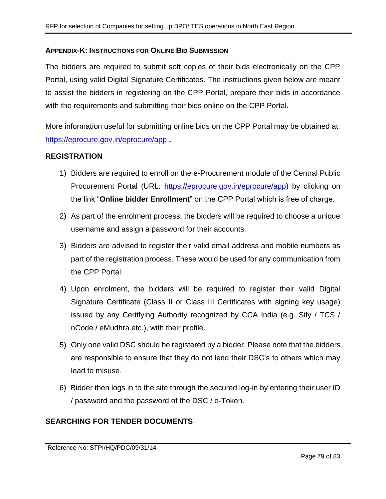### **APPENDIX-K: INSTRUCTIONS FOR ONLINE BID SUBMISSION**

The bidders are required to submit soft copies of their bids electronically on the CPP Portal, using valid Digital Signature Certificates. The instructions given below are meant to assist the bidders in registering on the CPP Portal, prepare their bids in accordance with the requirements and submitting their bids online on the CPP Portal.

More information useful for submitting online bids on the CPP Portal may be obtained at: <https://eprocure.gov.in/eprocure/app> **.**

### **REGISTRATION**

- 1) Bidders are required to enroll on the e-Procurement module of the Central Public Procurement Portal (URL: [https://eprocure.gov.in/eprocure/app\)](https://eprocure.gov.in/eprocure/app) by clicking on the link "**Online bidder Enrollment**" on the CPP Portal which is free of charge.
- 2) As part of the enrolment process, the bidders will be required to choose a unique username and assign a password for their accounts.
- 3) Bidders are advised to register their valid email address and mobile numbers as part of the registration process. These would be used for any communication from the CPP Portal.
- 4) Upon enrolment, the bidders will be required to register their valid Digital Signature Certificate (Class II or Class III Certificates with signing key usage) issued by any Certifying Authority recognized by CCA India (e.g. Sify / TCS / nCode / eMudhra etc.), with their profile.
- 5) Only one valid DSC should be registered by a bidder. Please note that the bidders are responsible to ensure that they do not lend their DSC's to others which may lead to misuse.
- 6) Bidder then logs in to the site through the secured log-in by entering their user ID / password and the password of the DSC / e-Token.

## **SEARCHING FOR TENDER DOCUMENTS**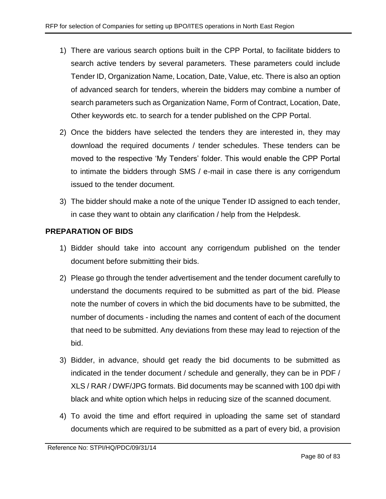- 1) There are various search options built in the CPP Portal, to facilitate bidders to search active tenders by several parameters. These parameters could include Tender ID, Organization Name, Location, Date, Value, etc. There is also an option of advanced search for tenders, wherein the bidders may combine a number of search parameters such as Organization Name, Form of Contract, Location, Date, Other keywords etc. to search for a tender published on the CPP Portal.
- 2) Once the bidders have selected the tenders they are interested in, they may download the required documents / tender schedules. These tenders can be moved to the respective 'My Tenders' folder. This would enable the CPP Portal to intimate the bidders through SMS / e-mail in case there is any corrigendum issued to the tender document.
- 3) The bidder should make a note of the unique Tender ID assigned to each tender, in case they want to obtain any clarification / help from the Helpdesk.

## **PREPARATION OF BIDS**

- 1) Bidder should take into account any corrigendum published on the tender document before submitting their bids.
- 2) Please go through the tender advertisement and the tender document carefully to understand the documents required to be submitted as part of the bid. Please note the number of covers in which the bid documents have to be submitted, the number of documents - including the names and content of each of the document that need to be submitted. Any deviations from these may lead to rejection of the bid.
- 3) Bidder, in advance, should get ready the bid documents to be submitted as indicated in the tender document / schedule and generally, they can be in PDF / XLS / RAR / DWF/JPG formats. Bid documents may be scanned with 100 dpi with black and white option which helps in reducing size of the scanned document.
- 4) To avoid the time and effort required in uploading the same set of standard documents which are required to be submitted as a part of every bid, a provision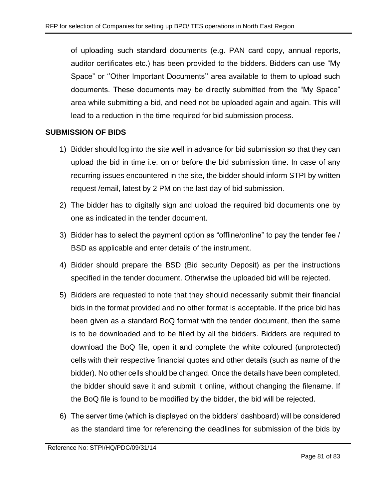of uploading such standard documents (e.g. PAN card copy, annual reports, auditor certificates etc.) has been provided to the bidders. Bidders can use "My Space" or ''Other Important Documents'' area available to them to upload such documents. These documents may be directly submitted from the "My Space" area while submitting a bid, and need not be uploaded again and again. This will lead to a reduction in the time required for bid submission process.

## **SUBMISSION OF BIDS**

- 1) Bidder should log into the site well in advance for bid submission so that they can upload the bid in time i.e. on or before the bid submission time. In case of any recurring issues encountered in the site, the bidder should inform STPI by written request /email, latest by 2 PM on the last day of bid submission.
- 2) The bidder has to digitally sign and upload the required bid documents one by one as indicated in the tender document.
- 3) Bidder has to select the payment option as "offline/online" to pay the tender fee / BSD as applicable and enter details of the instrument.
- 4) Bidder should prepare the BSD (Bid security Deposit) as per the instructions specified in the tender document. Otherwise the uploaded bid will be rejected.
- 5) Bidders are requested to note that they should necessarily submit their financial bids in the format provided and no other format is acceptable. If the price bid has been given as a standard BoQ format with the tender document, then the same is to be downloaded and to be filled by all the bidders. Bidders are required to download the BoQ file, open it and complete the white coloured (unprotected) cells with their respective financial quotes and other details (such as name of the bidder). No other cells should be changed. Once the details have been completed, the bidder should save it and submit it online, without changing the filename. If the BoQ file is found to be modified by the bidder, the bid will be rejected.
- 6) The server time (which is displayed on the bidders' dashboard) will be considered as the standard time for referencing the deadlines for submission of the bids by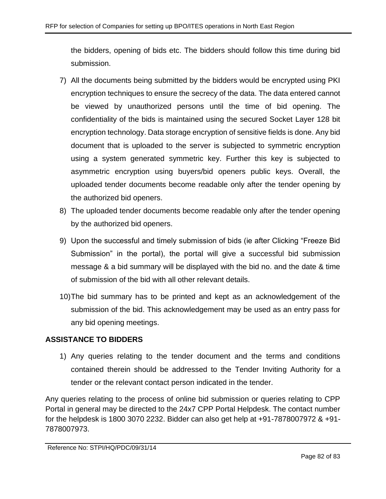the bidders, opening of bids etc. The bidders should follow this time during bid submission.

- 7) All the documents being submitted by the bidders would be encrypted using PKI encryption techniques to ensure the secrecy of the data. The data entered cannot be viewed by unauthorized persons until the time of bid opening. The confidentiality of the bids is maintained using the secured Socket Layer 128 bit encryption technology. Data storage encryption of sensitive fields is done. Any bid document that is uploaded to the server is subjected to symmetric encryption using a system generated symmetric key. Further this key is subjected to asymmetric encryption using buyers/bid openers public keys. Overall, the uploaded tender documents become readable only after the tender opening by the authorized bid openers.
- 8) The uploaded tender documents become readable only after the tender opening by the authorized bid openers.
- 9) Upon the successful and timely submission of bids (ie after Clicking "Freeze Bid Submission" in the portal), the portal will give a successful bid submission message & a bid summary will be displayed with the bid no. and the date & time of submission of the bid with all other relevant details.
- 10)The bid summary has to be printed and kept as an acknowledgement of the submission of the bid. This acknowledgement may be used as an entry pass for any bid opening meetings.

# **ASSISTANCE TO BIDDERS**

1) Any queries relating to the tender document and the terms and conditions contained therein should be addressed to the Tender Inviting Authority for a tender or the relevant contact person indicated in the tender.

Any queries relating to the process of online bid submission or queries relating to CPP Portal in general may be directed to the 24x7 CPP Portal Helpdesk. The contact number for the helpdesk is 1800 3070 2232. Bidder can also get help at +91-7878007972 & +91- 7878007973.